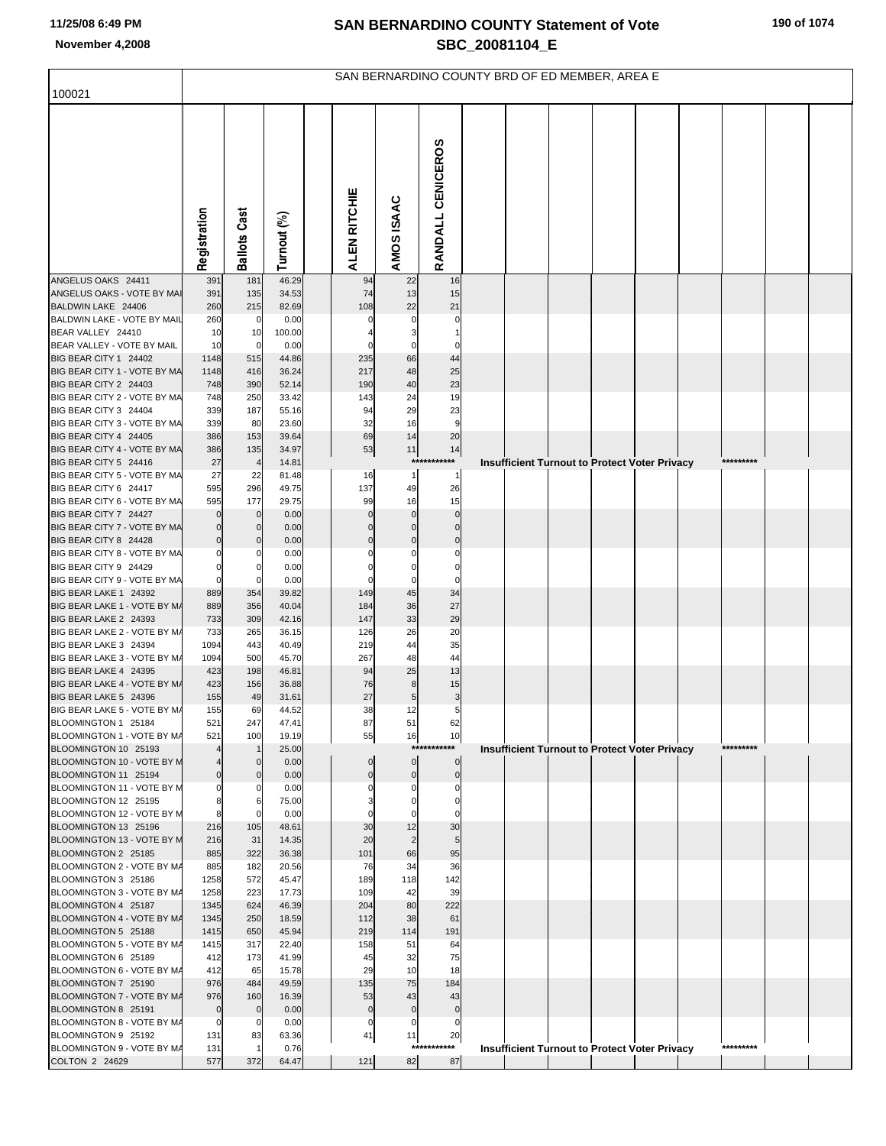|                                                       |                  |                       |                |                            |                            | SAN BERNARDINO COUNTY BRD OF ED MEMBER, AREA E |  |  |                                                      |           |  |
|-------------------------------------------------------|------------------|-----------------------|----------------|----------------------------|----------------------------|------------------------------------------------|--|--|------------------------------------------------------|-----------|--|
| 100021                                                |                  |                       |                |                            |                            |                                                |  |  |                                                      |           |  |
|                                                       | Registration     | <b>Ballots Cast</b>   | Turnout (%)    | ALEN RITCHIE               | AMOS ISAAC                 | RANDALL CENICEROS                              |  |  |                                                      |           |  |
| ANGELUS OAKS 24411                                    | 391              | 181                   | 46.29          | 94                         | 22                         | 16                                             |  |  |                                                      |           |  |
| ANGELUS OAKS - VOTE BY MAI<br>BALDWIN LAKE 24406      | 391<br>260       | 135<br>215            | 34.53<br>82.69 | 74<br>108                  | 13<br>22                   | 15<br>21                                       |  |  |                                                      |           |  |
| BALDWIN LAKE - VOTE BY MAIL                           | 260              | $\mathbf 0$           | 0.00           | 0                          | 0                          | 0                                              |  |  |                                                      |           |  |
| BEAR VALLEY 24410                                     | 10               | 10                    | 100.00         |                            | 3                          | 1                                              |  |  |                                                      |           |  |
| BEAR VALLEY - VOTE BY MAIL                            | 10               | $\mathbf 0$           | 0.00           | $\Omega$                   | $\mathbf 0$                | $\Omega$                                       |  |  |                                                      |           |  |
| BIG BEAR CITY 1 24402                                 | 1148             | 515                   | 44.86          | 235                        | 66                         | 44                                             |  |  |                                                      |           |  |
| BIG BEAR CITY 1 - VOTE BY MA<br>BIG BEAR CITY 2 24403 | 1148<br>748      | 416<br>390            | 36.24<br>52.14 | 217<br>190                 | 48<br>40                   | 25<br>23                                       |  |  |                                                      |           |  |
| BIG BEAR CITY 2 - VOTE BY MA                          | 748              | 250                   | 33.42          | 143                        | 24                         | 19                                             |  |  |                                                      |           |  |
| BIG BEAR CITY 3 24404                                 | 339              | 187                   | 55.16          | 94                         | 29                         | 23                                             |  |  |                                                      |           |  |
| BIG BEAR CITY 3 - VOTE BY MA                          | 339              | 80                    | 23.60          | 32                         | 16                         | 9                                              |  |  |                                                      |           |  |
| BIG BEAR CITY 4 24405                                 | 386              | 153                   | 39.64          | 69                         | 14                         | 20                                             |  |  |                                                      |           |  |
| BIG BEAR CITY 4 - VOTE BY MA<br>BIG BEAR CITY 5 24416 | 386<br>27        | 135<br>$\overline{4}$ | 34.97          | 53                         | $11$<br>***                | 14<br>******                                   |  |  |                                                      | ********* |  |
| BIG BEAR CITY 5 - VOTE BY MA                          | 27               | 22                    | 14.81<br>81.48 | 16                         | $\mathbf{1}$               | -1                                             |  |  | <b>Insufficient Turnout to Protect Voter Privacy</b> |           |  |
| BIG BEAR CITY 6 24417                                 | 595              | 296                   | 49.75          | 137                        | 49                         | 26                                             |  |  |                                                      |           |  |
| BIG BEAR CITY 6 - VOTE BY MA                          | 595              | 177                   | 29.75          | 99                         | 16                         | 15                                             |  |  |                                                      |           |  |
| BIG BEAR CITY 7 24427                                 | $\Omega$         | $\mathbf 0$           | 0.00           | $\Omega$                   | $\Omega$                   | $\Omega$                                       |  |  |                                                      |           |  |
| BIG BEAR CITY 7 - VOTE BY MA                          | $\Omega$         | 0                     | 0.00           | $\Omega$                   | $\Omega$                   | 0                                              |  |  |                                                      |           |  |
| BIG BEAR CITY 8 24428<br>BIG BEAR CITY 8 - VOTE BY MA | $\mathbf 0$<br>0 | 0<br>0                | 0.00<br>0.00   | $\mathbf 0$<br>0           | $\mathbf 0$                | $\Omega$                                       |  |  |                                                      |           |  |
| BIG BEAR CITY 9 24429                                 | $\mathbf 0$      | 0                     | 0.00           | $\Omega$                   | $\Omega$                   | $\Omega$                                       |  |  |                                                      |           |  |
| BIG BEAR CITY 9 - VOTE BY MA                          | $\mathbf 0$      | 0                     | 0.00           | 0                          | 0                          | 0                                              |  |  |                                                      |           |  |
| BIG BEAR LAKE 1 24392                                 | 889              | 354                   | 39.82          | 149                        | 45                         | 34                                             |  |  |                                                      |           |  |
| BIG BEAR LAKE 1 - VOTE BY M/<br>BIG BEAR LAKE 2 24393 | 889              | 356                   | 40.04          | 184<br>147                 | 36<br>33                   | 27<br>29                                       |  |  |                                                      |           |  |
| BIG BEAR LAKE 2 - VOTE BY M/                          | 733<br>733       | 309<br>265            | 42.16<br>36.15 | 126                        | 26                         | 20                                             |  |  |                                                      |           |  |
| BIG BEAR LAKE 3 24394                                 | 1094             | 443                   | 40.49          | 219                        | 44                         | 35                                             |  |  |                                                      |           |  |
| BIG BEAR LAKE 3 - VOTE BY M/                          | 1094             | 500                   | 45.70          | 267                        | 48                         | 44                                             |  |  |                                                      |           |  |
| BIG BEAR LAKE 4 24395                                 | 423              | 198                   | 46.81          | 94                         | 25                         | 13                                             |  |  |                                                      |           |  |
| BIG BEAR LAKE 4 - VOTE BY M/<br>BIG BEAR LAKE 5 24396 | 423<br>155       | 156<br>49             | 36.88<br>31.61 | 76<br>27                   | 8                          | 15                                             |  |  |                                                      |           |  |
| BIG BEAR LAKE 5 - VOTE BY M/                          | 155              | 69                    | 44.52          | 38                         | 5<br>12                    | 3<br>5                                         |  |  |                                                      |           |  |
| BLOOMINGTON 1 25184                                   | 521              | 247                   | 47.41          | 87                         | 51                         | 62                                             |  |  |                                                      |           |  |
| BLOOMINGTON 1 - VOTE BY M/                            | 521              | 100                   | 19.19          | 55                         | 16                         | 10                                             |  |  |                                                      |           |  |
| BLOOMINGTON 10 25193                                  | $\overline{4}$   |                       | 25.00          |                            | $***$                      | ******                                         |  |  | <b>Insufficient Turnout to Protect Voter Privacy</b> | ********* |  |
| BLOOMINGTON 10 - VOTE BY M<br>BLOOMINGTON 11 25194    | $\mathbf 0$      | $\Omega$<br>$\Omega$  | 0.00<br>0.00   | $\mathbf 0$<br>$\mathbf 0$ | $\mathbf 0$<br>$\mathbf 0$ | $\mathbf 0$<br>$\pmb{0}$                       |  |  |                                                      |           |  |
| BLOOMINGTON 11 - VOTE BY M                            | $\mathbf 0$      | $\Omega$              | 0.00           | $\Omega$                   | $\Omega$                   | $\Omega$                                       |  |  |                                                      |           |  |
| BLOOMINGTON 12 25195                                  | 8                | 6                     | 75.00          |                            | $\Omega$                   | $\Omega$                                       |  |  |                                                      |           |  |
| BLOOMINGTON 12 - VOTE BY M                            | 8                |                       | 0.00           |                            |                            | O                                              |  |  |                                                      |           |  |
| BLOOMINGTON 13 25196                                  | 216              | 105                   | 48.61          | 30                         | 12                         | 30                                             |  |  |                                                      |           |  |
| BLOOMINGTON 13 - VOTE BY M<br>BLOOMINGTON 2 25185     | 216<br>885       | 31<br>322             | 14.35<br>36.38 | 20<br>101                  | $\overline{2}$<br>66       | 5<br>95                                        |  |  |                                                      |           |  |
| BLOOMINGTON 2 - VOTE BY M/                            | 885              | 182                   | 20.56          | 76                         | 34                         | 36                                             |  |  |                                                      |           |  |
| BLOOMINGTON 3 25186                                   | 1258             | 572                   | 45.47          | 189                        | 118                        | 142                                            |  |  |                                                      |           |  |
| BLOOMINGTON 3 - VOTE BY M/                            | 1258             | 223                   | 17.73          | 109                        | 42                         | 39                                             |  |  |                                                      |           |  |
| BLOOMINGTON 4 25187                                   | 1345             | 624                   | 46.39          | 204                        | 80                         | 222                                            |  |  |                                                      |           |  |
| BLOOMINGTON 4 - VOTE BY M/<br>BLOOMINGTON 5 25188     | 1345<br>1415     | 250<br>650            | 18.59<br>45.94 | 112<br>219                 | 38<br>114                  | 61<br>191                                      |  |  |                                                      |           |  |
| BLOOMINGTON 5 - VOTE BY M/                            | 1415             | 317                   | 22.40          | 158                        | 51                         | 64                                             |  |  |                                                      |           |  |
| BLOOMINGTON 6 25189                                   | 412              | 173                   | 41.99          | 45                         | 32                         | 75                                             |  |  |                                                      |           |  |
| BLOOMINGTON 6 - VOTE BY M/                            | 412              | 65                    | 15.78          | 29                         | 10                         | 18                                             |  |  |                                                      |           |  |
| BLOOMINGTON 7 25190                                   | 976              | 484                   | 49.59          | 135                        | 75                         | 184                                            |  |  |                                                      |           |  |
| BLOOMINGTON 7 - VOTE BY M/<br>BLOOMINGTON 8 25191     | 976<br>$\pmb{0}$ | 160<br>$\mathbf 0$    | 16.39<br>0.00  | 53<br>$\mathbf 0$          | 43<br>$\mathbf 0$          | 43<br>$\mathbf 0$                              |  |  |                                                      |           |  |
| BLOOMINGTON 8 - VOTE BY M/                            | $\mathbf 0$      | 0                     | 0.00           | $\mathbf 0$                | 0                          | 0                                              |  |  |                                                      |           |  |
| BLOOMINGTON 9 25192                                   | 131              | 83                    | 63.36          | 41                         | 11                         | 20                                             |  |  |                                                      |           |  |
| BLOOMINGTON 9 - VOTE BY M/                            | 131              |                       | 0.76           |                            | ****                       | *******                                        |  |  | Insufficient Turnout to Protect Voter Privacy        | ********* |  |
| COLTON 2 24629                                        | 577              | 372                   | 64.47          | 121                        | 82                         | 87                                             |  |  |                                                      |           |  |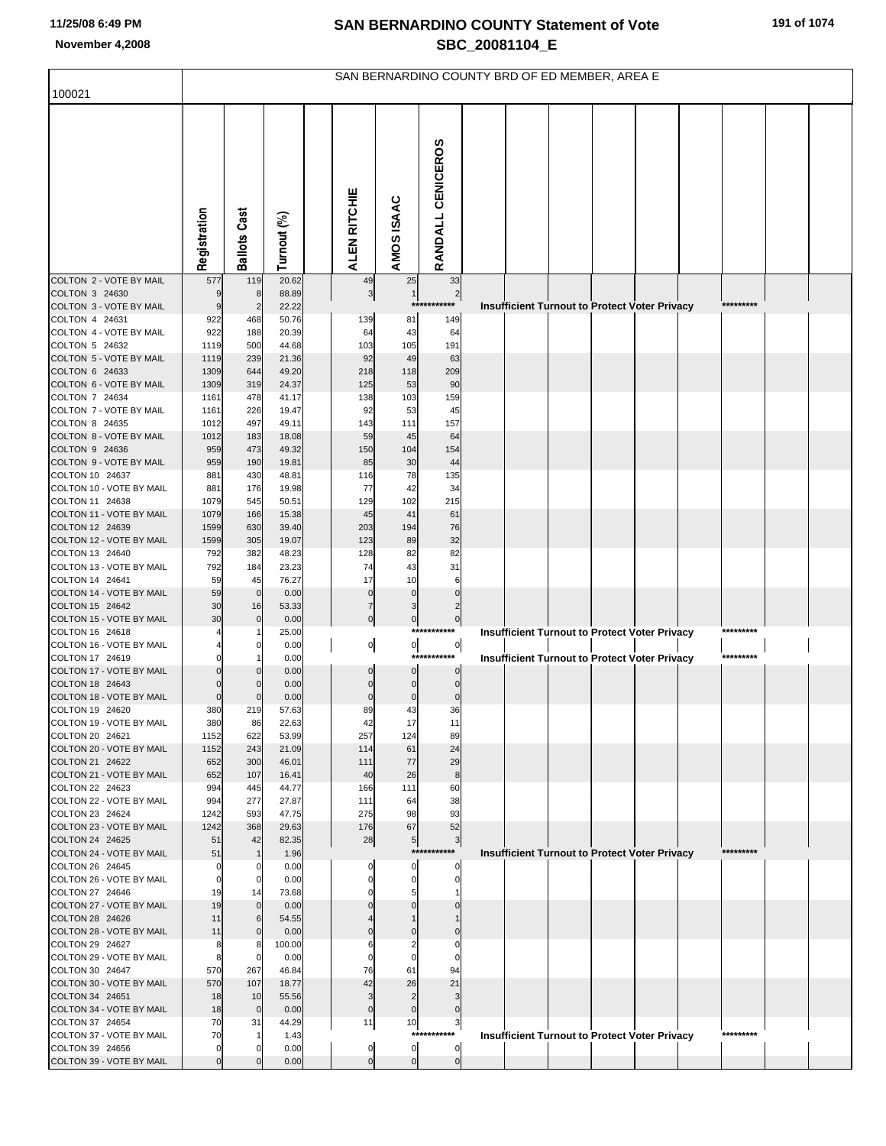|                                             |                |                       |                |                     |                                           |                                   | SAN BERNARDINO COUNTY BRD OF ED MEMBER, AREA E       |           |  |
|---------------------------------------------|----------------|-----------------------|----------------|---------------------|-------------------------------------------|-----------------------------------|------------------------------------------------------|-----------|--|
| 100021                                      |                |                       |                |                     |                                           |                                   |                                                      |           |  |
|                                             | Registration   | <b>Ballots Cast</b>   | Turnout (%)    | ALEN RITCHIE        | AMOS ISAAC                                | RANDALL CENICEROS                 |                                                      |           |  |
| COLTON 2 - VOTE BY MAIL                     | 577            | 119                   | 20.62          | 49                  | 25                                        | 33                                |                                                      |           |  |
| COLTON 3 24630<br>COLTON 3 - VOTE BY MAIL   | 9<br>9         | 8                     | 88.89<br>22.22 | $\mathbf{3}$        | $\mathbf{1}$<br>$***$                     | $\overline{\mathbf{c}}$<br>****** |                                                      | ********* |  |
| COLTON 4 24631                              | 922            | $\overline{2}$<br>468 | 50.76          | 139                 | 81                                        | 149                               | Insufficient Turnout to Protect Voter Privacy        |           |  |
| COLTON 4 - VOTE BY MAIL                     | 922            | 188                   | 20.39          | 64                  | 43                                        | 64                                |                                                      |           |  |
| COLTON 5 24632                              | 1119           | 500                   | 44.68          | 103                 | 105                                       | 191                               |                                                      |           |  |
| COLTON 5 - VOTE BY MAIL                     | 1119           | 239                   | 21.36          | 92                  | 49                                        | 63                                |                                                      |           |  |
| COLTON 6 24633<br>COLTON 6 - VOTE BY MAIL   | 1309           | 644                   | 49.20<br>24.37 | 218                 | 118<br>53                                 | 209<br>90                         |                                                      |           |  |
| COLTON 7 24634                              | 1309<br>1161   | 319<br>478            | 41.17          | 125<br>138          | 103                                       | 159                               |                                                      |           |  |
| COLTON 7 - VOTE BY MAIL                     | 1161           | 226                   | 19.47          | 92                  | 53                                        | 45                                |                                                      |           |  |
| COLTON 8 24635                              | 1012           | 497                   | 49.11          | 143                 | 111                                       | 157                               |                                                      |           |  |
| COLTON 8 - VOTE BY MAIL                     | 1012           | 183                   | 18.08          | 59                  | 45                                        | 64                                |                                                      |           |  |
| COLTON 9 24636<br>COLTON 9 - VOTE BY MAIL   | 959<br>959     | 473<br>190            | 49.32<br>19.81 | 150<br>85           | 104<br>30                                 | 154<br>44                         |                                                      |           |  |
| COLTON 10 24637                             | 881            | 430                   | 48.81          | 116                 | 78                                        | 135                               |                                                      |           |  |
| COLTON 10 - VOTE BY MAIL                    | 881            | 176                   | 19.98          | 77                  | 42                                        | 34                                |                                                      |           |  |
| COLTON 11 24638                             | 1079           | 545                   | 50.51          | 129                 | 102                                       | 215                               |                                                      |           |  |
| COLTON 11 - VOTE BY MAIL                    | 1079           | 166                   | 15.38          | 45                  | 41                                        | 61                                |                                                      |           |  |
| COLTON 12 24639<br>COLTON 12 - VOTE BY MAIL | 1599<br>1599   | 630<br>305            | 39.40<br>19.07 | 203<br>123          | 194<br>89                                 | 76<br>32                          |                                                      |           |  |
| COLTON 13 24640                             | 792            | 382                   | 48.23          | 128                 | 82                                        | 82                                |                                                      |           |  |
| COLTON 13 - VOTE BY MAIL                    | 792            | 184                   | 23.23          | 74                  | 43                                        | 31                                |                                                      |           |  |
| COLTON 14 24641                             | 59             | 45                    | 76.27          | 17                  | 10                                        | 6                                 |                                                      |           |  |
| COLTON 14 - VOTE BY MAIL                    | 59             | $\mathbf 0$           | 0.00           | $\mathbf 0$         | $\mathbf{0}$                              | $\Omega$                          |                                                      |           |  |
| COLTON 15 24642<br>COLTON 15 - VOTE BY MAIL | 30<br>30       | 16<br>$\mathbf 0$     | 53.33<br>0.00  | 7<br>$\overline{0}$ | $\overline{\mathbf{3}}$<br>$\overline{0}$ | 2<br>$\pmb{0}$                    |                                                      |           |  |
| COLTON 16 24618                             |                |                       | 25.00          |                     |                                           | ***********                       | <b>Insufficient Turnout to Protect Voter Privacy</b> | ********* |  |
| COLTON 16 - VOTE BY MAIL                    |                | C                     | 0.00           | $\overline{0}$      | 이                                         | $\overline{0}$                    |                                                      |           |  |
| COLTON 17 24619                             |                |                       | 0.00           |                     |                                           | ***********                       | <b>Insufficient Turnout to Protect Voter Privacy</b> | ********* |  |
| COLTON 17 - VOTE BY MAIL<br>COLTON 18 24643 |                |                       | 0.00<br>0.00   | $\Omega$            | $\Omega$<br>$\overline{0}$                | $\Omega$<br>0                     |                                                      |           |  |
| COLTON 18 - VOTE BY MAIL                    | $\Omega$       | C                     | 0.00           | $\mathbf 0$         | $\overline{0}$                            | 0                                 |                                                      |           |  |
| COLTON 19 24620                             | 380            | 219                   | 57.63          | 89                  | 43                                        | 36                                |                                                      |           |  |
| COLTON 19 - VOTE BY MAIL                    | 380            | 86                    | 22.63          | 42                  | 17                                        | 11                                |                                                      |           |  |
| COLTON 20 24621                             | 1152           | 622                   | 53.99          | 257                 | 124                                       | 89                                |                                                      |           |  |
| COLTON 20 - VOTE BY MAIL<br>COLTON 21 24622 | 1152<br>652    | 243<br>300            | 21.09<br>46.01 | 114<br>111          | 61<br>77                                  | 24<br>29                          |                                                      |           |  |
| COLTON 21 - VOTE BY MAIL                    | 652            | 107                   | 16.41          | 40                  | 26                                        | $\bf8$                            |                                                      |           |  |
| COLTON 22 24623                             | 994            | 445                   | 44.77          | 166                 | 111                                       | 60                                |                                                      |           |  |
| COLTON 22 - VOTE BY MAIL                    | 994            | 277                   | 27.87          | 111                 | 64                                        | 38                                |                                                      |           |  |
| COLTON 23 24624<br>COLTON 23 - VOTE BY MAIL | 1242<br>1242   | 593<br>368            | 47.75<br>29.63 | 275<br>176          | 98<br>67                                  | 93<br>52                          |                                                      |           |  |
| COLTON 24 24625                             | 51             | 42                    | 82.35          | 28                  | 5 <sub>1</sub>                            | 3                                 |                                                      |           |  |
| COLTON 24 - VOTE BY MAIL                    | 51             | $\mathbf 1$           | 1.96           |                     |                                           | ***********                       | <b>Insufficient Turnout to Protect Voter Privacy</b> | ********* |  |
| COLTON 26 24645                             | 0              | 0                     | 0.00           |                     | 0                                         | 0                                 |                                                      |           |  |
| COLTON 26 - VOTE BY MAIL<br>COLTON 27 24646 | $\Omega$<br>19 | 0<br>14               | 0.00<br>73.68  |                     | $\Omega$<br>5                             | 0                                 |                                                      |           |  |
| COLTON 27 - VOTE BY MAIL                    | 19             | $\Omega$              | 0.00           |                     |                                           |                                   |                                                      |           |  |
| COLTON 28 24626                             | 11             | 6                     | 54.55          |                     |                                           |                                   |                                                      |           |  |
| COLTON 28 - VOTE BY MAIL                    | 11             | $\Omega$              | 0.00           |                     |                                           |                                   |                                                      |           |  |
| COLTON 29 24627<br>COLTON 29 - VOTE BY MAIL | 8<br>8         | 8<br>0                | 100.00<br>0.00 | 6                   |                                           |                                   |                                                      |           |  |
| COLTON 30 24647                             | 570            | 267                   | 46.84          | 76                  | 61                                        | 94                                |                                                      |           |  |
| COLTON 30 - VOTE BY MAIL                    | 570            | 107                   | 18.77          | 42                  | 26                                        | 21                                |                                                      |           |  |
| COLTON 34 24651                             | 18             | 10                    | 55.56          | 3                   | $\overline{2}$                            | 3                                 |                                                      |           |  |
| COLTON 34 - VOTE BY MAIL                    | 18             | $\mathbf 0$           | 0.00           | $\mathbf{0}$        | $\overline{0}$                            | 0                                 |                                                      |           |  |
| COLTON 37 24654<br>COLTON 37 - VOTE BY MAIL | 70<br>70       | 31                    | 44.29<br>1.43  | 11                  | 10<br>****                                | 3<br>*****                        | <b>Insufficient Turnout to Protect Voter Privacy</b> | ********* |  |
| COLTON 39 24656                             | O              |                       | 0.00           | 0                   | $\overline{0}$                            | 0                                 |                                                      |           |  |
| COLTON 39 - VOTE BY MAIL                    | $\Omega$       |                       | 0.00           | $\mathbf{0}$        | $\overline{0}$                            | $\overline{0}$                    |                                                      |           |  |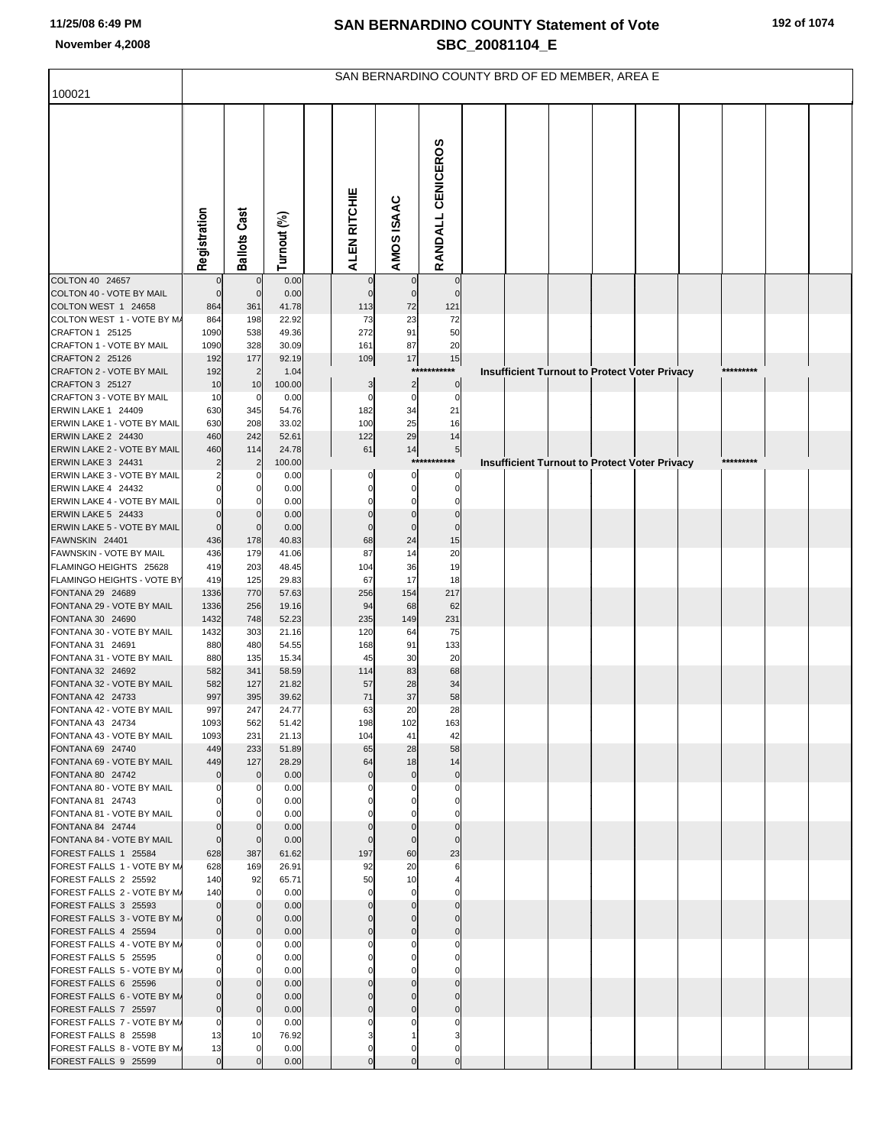|                                                     |                      |                             |                |                   |                            |                               | SAN BERNARDINO COUNTY BRD OF ED MEMBER, AREA E |  |                                                      |           |  |
|-----------------------------------------------------|----------------------|-----------------------------|----------------|-------------------|----------------------------|-------------------------------|------------------------------------------------|--|------------------------------------------------------|-----------|--|
| 100021                                              |                      |                             |                |                   |                            |                               |                                                |  |                                                      |           |  |
|                                                     | Registration         | <b>Ballots Cast</b>         | Turnout (%)    | ALEN RITCHIE      | AMOS ISAAC                 | RANDALL CENICEROS             |                                                |  |                                                      |           |  |
| COLTON 40 24657                                     |                      | $\mathbf 0$                 | 0.00           | $\mathbf 0$       | $\mathbf 0$                | $\overline{0}$                |                                                |  |                                                      |           |  |
| COLTON 40 - VOTE BY MAIL<br>COLTON WEST 1 24658     | $\mathcal{C}$<br>864 | $\overline{0}$<br>361       | 0.00<br>41.78  | $\Omega$<br>113   | $\mathbf 0$<br>72          | $\mathbf{0}$<br>121           |                                                |  |                                                      |           |  |
| COLTON WEST 1 - VOTE BY M/                          | 864                  | 198                         | 22.92          | 73                | 23                         | 72                            |                                                |  |                                                      |           |  |
| CRAFTON 1 25125                                     | 1090                 | 538                         | 49.36          | 272               | 91                         | 50                            |                                                |  |                                                      |           |  |
| CRAFTON 1 - VOTE BY MAIL                            | 1090                 | 328                         | 30.09          | 161               | 87                         | 20                            |                                                |  |                                                      |           |  |
| CRAFTON 2 25126                                     | 192                  | 177                         | 92.19          | 109               | 17                         | 15                            |                                                |  |                                                      |           |  |
| CRAFTON 2 - VOTE BY MAIL<br>CRAFTON 3 25127         | 192                  | $\overline{2}$              | 1.04           |                   | ****                       | *******                       |                                                |  | <b>Insufficient Turnout to Protect Voter Privacy</b> | ********* |  |
| CRAFTON 3 - VOTE BY MAIL                            | 10<br>10             | 10<br>0                     | 100.00<br>0.00 | 3<br>$\Omega$     | 2<br>0                     | $\overline{0}$<br>$\mathbf 0$ |                                                |  |                                                      |           |  |
| ERWIN LAKE 1 24409                                  | 630                  | 345                         | 54.76          | 182               | 34                         | 21                            |                                                |  |                                                      |           |  |
| ERWIN LAKE 1 - VOTE BY MAIL                         | 630                  | 208                         | 33.02          | 100               | 25                         | 16                            |                                                |  |                                                      |           |  |
| ERWIN LAKE 2 24430                                  | 460                  | 242                         | 52.61          | 122               | 29                         | 14                            |                                                |  |                                                      |           |  |
| ERWIN LAKE 2 - VOTE BY MAIL                         | 460                  | 114                         | 24.78          | 61                | 14                         | 5<br>***********              |                                                |  |                                                      | ********* |  |
| ERWIN LAKE 3 24431<br>ERWIN LAKE 3 - VOTE BY MAIL   |                      | 2                           | 100.00<br>0.00 | 0                 | 0                          | 0                             |                                                |  | <b>Insufficient Turnout to Protect Voter Privacy</b> |           |  |
| ERWIN LAKE 4 24432                                  |                      |                             | 0.00           |                   | 0                          | 0                             |                                                |  |                                                      |           |  |
| ERWIN LAKE 4 - VOTE BY MAIL                         |                      | $\Omega$                    | 0.00           |                   |                            | 0                             |                                                |  |                                                      |           |  |
| ERWIN LAKE 5 24433                                  | $\mathcal{C}$        | $\Omega$                    | 0.00           |                   | $\Omega$                   | $\mathbf 0$                   |                                                |  |                                                      |           |  |
| ERWIN LAKE 5 - VOTE BY MAIL                         | $\mathbf 0$          | $\mathbf 0$                 | 0.00           |                   | $\Omega$                   | $\pmb{0}$                     |                                                |  |                                                      |           |  |
| FAWNSKIN 24401<br>FAWNSKIN - VOTE BY MAIL           | 436<br>436           | 178<br>179                  | 40.83<br>41.06 | 68<br>87          | 24<br>14                   | 15<br>20                      |                                                |  |                                                      |           |  |
| FLAMINGO HEIGHTS 25628                              | 419                  | 203                         | 48.45          | 104               | 36                         | 19                            |                                                |  |                                                      |           |  |
| FLAMINGO HEIGHTS - VOTE BY                          | 419                  | 125                         | 29.83          | 67                | 17                         | 18                            |                                                |  |                                                      |           |  |
| FONTANA 29 24689                                    | 1336                 | 770                         | 57.63          | 256               | 154                        | 217                           |                                                |  |                                                      |           |  |
| FONTANA 29 - VOTE BY MAIL<br>FONTANA 30 24690       | 1336<br>1432         | 256<br>748                  | 19.16<br>52.23 | 94<br>235         | 68<br>149                  | 62<br>231                     |                                                |  |                                                      |           |  |
| FONTANA 30 - VOTE BY MAIL                           | 1432                 | 303                         | 21.16          | 120               | 64                         | 75                            |                                                |  |                                                      |           |  |
| FONTANA 31 24691                                    | 880                  | 480                         | 54.55          | 168               | 91                         | 133                           |                                                |  |                                                      |           |  |
| FONTANA 31 - VOTE BY MAIL                           | 880                  | 135                         | 15.34          | 45                | 30                         | 20                            |                                                |  |                                                      |           |  |
| FONTANA 32 24692                                    | 582                  | 341                         | 58.59          | 114               | 83                         | 68                            |                                                |  |                                                      |           |  |
| FONTANA 32 - VOTE BY MAIL<br>FONTANA 42 24733       | 582<br>997           | 127<br>395                  | 21.82<br>39.62 | 57<br>71          | 28<br>37                   | 34<br>58                      |                                                |  |                                                      |           |  |
| FONTANA 42 - VOTE BY MAIL                           | 997                  | 247                         | 24.77          | 63                | 20                         | 28                            |                                                |  |                                                      |           |  |
| FONTANA 43 24734                                    | 1093                 | 562                         | 51.42          | 198               | 102                        | 163                           |                                                |  |                                                      |           |  |
| FONTANA 43 - VOTE BY MAIL                           | 1093                 | 231                         | 21.13          | 104               | 41                         | 42                            |                                                |  |                                                      |           |  |
| FONTANA 69 24740                                    | 449                  | 233                         | 51.89          | 65                | 28                         | 58                            |                                                |  |                                                      |           |  |
| FONTANA 69 - VOTE BY MAIL<br>FONTANA 80 24742       | 449<br>$\Omega$      | 127<br>$\mathbf{0}$         | 28.29<br>0.00  | 64<br>$\mathbf 0$ | 18<br>$\mathbf 0$          | 14<br>$\circ$                 |                                                |  |                                                      |           |  |
| FONTANA 80 - VOTE BY MAIL                           |                      | 0                           | 0.00           |                   |                            | $\mathbf{0}$                  |                                                |  |                                                      |           |  |
| FONTANA 81 24743                                    |                      | $\Omega$                    | 0.00           |                   |                            | 0                             |                                                |  |                                                      |           |  |
| FONTANA 81 - VOTE BY MAIL                           |                      |                             | 0.00           |                   |                            |                               |                                                |  |                                                      |           |  |
| FONTANA 84 24744<br>FONTANA 84 - VOTE BY MAIL       | $\sqrt{ }$           | $\Omega$                    | 0.00<br>0.00   |                   | $\mathbf 0$<br>$\mathbf 0$ | $\overline{0}$<br>$\mathbf 0$ |                                                |  |                                                      |           |  |
| FOREST FALLS 1 25584                                | 628                  | 387                         | 61.62          | 197               | 60                         | 23                            |                                                |  |                                                      |           |  |
| FOREST FALLS 1 - VOTE BY M                          | 628                  | 169                         | 26.91          | 92                | 20                         | 6                             |                                                |  |                                                      |           |  |
| FOREST FALLS 2 25592                                | 140                  | 92                          | 65.71          | 50                | 10                         |                               |                                                |  |                                                      |           |  |
| FOREST FALLS 2 - VOTE BY M/                         | 140                  | $\mathbf 0$                 | 0.00           | $\mathbf 0$       | $\mathbf 0$                | 0                             |                                                |  |                                                      |           |  |
| FOREST FALLS 3 25593<br>FOREST FALLS 3 - VOTE BY MJ | $\Omega$             | $\mathbf 0$<br>$\mathbf{0}$ | 0.00<br>0.00   |                   | $\mathbf 0$                | $\mathbf{0}$<br>$\Omega$      |                                                |  |                                                      |           |  |
| FOREST FALLS 4 25594                                |                      | $\Omega$                    | 0.00           |                   | $\mathbf 0$                | $\mathbf{0}$                  |                                                |  |                                                      |           |  |
| FOREST FALLS 4 - VOTE BY M/                         |                      | 0                           | 0.00           |                   |                            | 0                             |                                                |  |                                                      |           |  |
| FOREST FALLS 5 25595                                |                      | $\Omega$                    | 0.00           |                   |                            |                               |                                                |  |                                                      |           |  |
| FOREST FALLS 5 - VOTE BY M/                         |                      | $\Omega$                    | 0.00           |                   |                            |                               |                                                |  |                                                      |           |  |
| FOREST FALLS 6 25596<br>FOREST FALLS 6 - VOTE BY M/ |                      | $\Omega$<br>$\mathbf{0}$    | 0.00<br>0.00   |                   |                            | $\Omega$                      |                                                |  |                                                      |           |  |
| FOREST FALLS 7 25597                                | $\Omega$             | $\mathbf{0}$                | 0.00           |                   |                            |                               |                                                |  |                                                      |           |  |
| FOREST FALLS 7 - VOTE BY M/                         | C                    | $\Omega$                    | 0.00           |                   |                            |                               |                                                |  |                                                      |           |  |
| FOREST FALLS 8 25598                                | 13                   | 10                          | 76.92          |                   |                            |                               |                                                |  |                                                      |           |  |
| FOREST FALLS 8 - VOTE BY M/                         | 13                   | $\mathbf 0$                 | 0.00           | 0                 | 0                          | 0                             |                                                |  |                                                      |           |  |
| FOREST FALLS 9 25599                                | $\mathbf 0$          |                             | 0.00           |                   |                            | $\pmb{0}$                     |                                                |  |                                                      |           |  |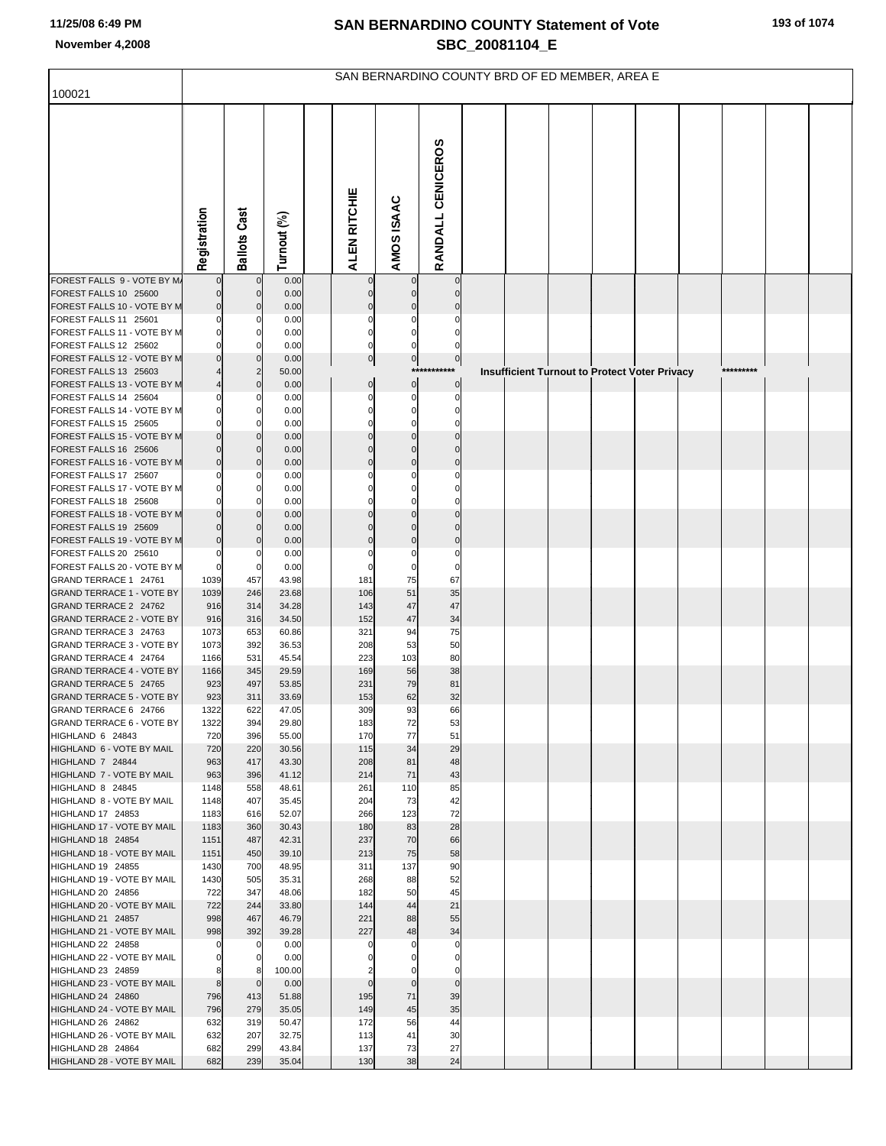|                                                           |               |                            |                |                |                      |                               |  | SAN BERNARDINO COUNTY BRD OF ED MEMBER, AREA E       |  |           |  |
|-----------------------------------------------------------|---------------|----------------------------|----------------|----------------|----------------------|-------------------------------|--|------------------------------------------------------|--|-----------|--|
| 100021                                                    |               |                            |                |                |                      |                               |  |                                                      |  |           |  |
|                                                           | Registration  | <b>Ballots Cast</b>        | Turnout (%)    | ALEN RITCHIE   | AMOS ISAAC           | RANDALL CENICEROS             |  |                                                      |  |           |  |
| FOREST FALLS 9 - VOTE BY M.                               |               | $\mathbf{0}$               | 0.00           | $\Omega$       | $\mathbf 0$          | $\mathbf 0$                   |  |                                                      |  |           |  |
| FOREST FALLS 10 25600                                     |               | $\mathbf{0}$               | 0.00           |                |                      |                               |  |                                                      |  |           |  |
| FOREST FALLS 10 - VOTE BY M<br>FOREST FALLS 11 25601      |               | 0<br>0                     | 0.00<br>0.00   |                |                      |                               |  |                                                      |  |           |  |
| FOREST FALLS 11 - VOTE BY M                               |               | 0                          | 0.00           |                |                      |                               |  |                                                      |  |           |  |
| FOREST FALLS 12 25602                                     |               | 0                          | 0.00           |                |                      |                               |  |                                                      |  |           |  |
| FOREST FALLS 12 - VOTE BY M                               |               | $\Omega$                   | 0.00           | $\overline{0}$ | $\overline{0}$       | $\overline{0}$<br>*********** |  |                                                      |  | ********* |  |
| FOREST FALLS 13 25603<br>FOREST FALLS 13 - VOTE BY M      |               | $\overline{2}$<br>$\Omega$ | 50.00<br>0.00  | $\mathbf 0$    | $\mathbf 0$          | $\mathbf 0$                   |  | <b>Insufficient Turnout to Protect Voter Privacy</b> |  |           |  |
| FOREST FALLS 14 25604                                     |               | 0                          | 0.00           |                | 0                    | 0                             |  |                                                      |  |           |  |
| FOREST FALLS 14 - VOTE BY M                               |               | 0                          | 0.00           |                | O                    |                               |  |                                                      |  |           |  |
| FOREST FALLS 15 25605                                     |               | 0                          | 0.00           |                |                      |                               |  |                                                      |  |           |  |
| FOREST FALLS 15 - VOTE BY M                               |               | 0                          | 0.00           |                | $\Omega$             |                               |  |                                                      |  |           |  |
| FOREST FALLS 16 25606<br>FOREST FALLS 16 - VOTE BY M      |               | $\mathbf{0}$<br>0          | 0.00<br>0.00   |                | $\Omega$<br>$\Omega$ | $\Omega$                      |  |                                                      |  |           |  |
| FOREST FALLS 17 25607                                     |               | 0                          | 0.00           |                | C                    | 0                             |  |                                                      |  |           |  |
| FOREST FALLS 17 - VOTE BY M                               |               | 0                          | 0.00           |                |                      |                               |  |                                                      |  |           |  |
| FOREST FALLS 18 25608                                     |               | 0                          | 0.00           |                |                      |                               |  |                                                      |  |           |  |
| FOREST FALLS 18 - VOTE BY M                               |               | $\Omega$                   | 0.00           |                |                      |                               |  |                                                      |  |           |  |
| FOREST FALLS 19 25609<br>FOREST FALLS 19 - VOTE BY M      |               | 0<br>0                     | 0.00<br>0.00   |                | $\Omega$             | $\Omega$<br>$\Omega$          |  |                                                      |  |           |  |
| FOREST FALLS 20 25610                                     |               | 0                          | 0.00           |                | 0                    | 0                             |  |                                                      |  |           |  |
| FOREST FALLS 20 - VOTE BY M                               |               | 0                          | 0.00           |                | $\Omega$             | $\Omega$                      |  |                                                      |  |           |  |
| GRAND TERRACE 1 24761                                     | 1039          | 457                        | 43.98          | 181            | 75                   | 67                            |  |                                                      |  |           |  |
| <b>GRAND TERRACE 1 - VOTE BY</b><br>GRAND TERRACE 2 24762 | 1039<br>916   | 246<br>314                 | 23.68<br>34.28 | 106<br>143     | 51<br>47             | 35<br>47                      |  |                                                      |  |           |  |
| <b>GRAND TERRACE 2 - VOTE BY</b>                          | 916           | 316                        | 34.50          | 152            | 47                   | 34                            |  |                                                      |  |           |  |
| GRAND TERRACE 3 24763                                     | 1073          | 653                        | 60.86          | 321            | 94                   | 75                            |  |                                                      |  |           |  |
| <b>GRAND TERRACE 3 - VOTE BY</b>                          | 1073          | 392                        | 36.53          | 208            | 53                   | 50                            |  |                                                      |  |           |  |
| GRAND TERRACE 4 24764                                     | 1166          | 531                        | 45.54          | 223            | 103                  | 80                            |  |                                                      |  |           |  |
| <b>GRAND TERRACE 4 - VOTE BY</b><br>GRAND TERRACE 5 24765 | 1166<br>923   | 345<br>497                 | 29.59<br>53.85 | 169<br>231     | 56<br>79             | 38<br>81                      |  |                                                      |  |           |  |
| <b>GRAND TERRACE 5 - VOTE BY</b>                          | 923           | 311                        | 33.69          | 153            | 62                   | 32                            |  |                                                      |  |           |  |
| GRAND TERRACE 6 24766                                     | 1322          | 622                        | 47.05          | 309            | 93                   | 66                            |  |                                                      |  |           |  |
| GRAND TERRACE 6 - VOTE BY                                 | 1322          | 394                        | 29.80          | 183            | 72                   | 53                            |  |                                                      |  |           |  |
| HIGHLAND 6 24843<br>HIGHLAND 6 - VOTE BY MAIL             | 720<br>720    | 396<br>220                 | 55.00<br>30.56 | 170<br>115     | 77<br>34             | 51<br>29                      |  |                                                      |  |           |  |
| HIGHLAND 7 24844                                          | 963           | 417                        | 43.30          | 208            | 81                   | 48                            |  |                                                      |  |           |  |
| HIGHLAND 7 - VOTE BY MAIL                                 | 963           | 396                        | 41.12          | 214            | 71                   | 43                            |  |                                                      |  |           |  |
| HIGHLAND 8 24845                                          | 1148          | 558                        | 48.61          | 261            | 110                  | 85                            |  |                                                      |  |           |  |
| HIGHLAND 8 - VOTE BY MAIL<br>HIGHLAND 17 24853            | 1148<br>1183  | 407<br>616                 | 35.45<br>52.07 | 204<br>266     | 73<br>123            | 42<br>72                      |  |                                                      |  |           |  |
| HIGHLAND 17 - VOTE BY MAIL                                | 1183          | 360                        | 30.43          | 180            | 83                   | 28                            |  |                                                      |  |           |  |
| HIGHLAND 18 24854                                         | 1151          | 487                        | 42.31          | 237            | 70                   | 66                            |  |                                                      |  |           |  |
| HIGHLAND 18 - VOTE BY MAIL                                | 1151          | 450                        | 39.10          | 213            | 75                   | 58                            |  |                                                      |  |           |  |
| HIGHLAND 19 24855<br>HIGHLAND 19 - VOTE BY MAIL           | 1430<br>1430  | 700<br>505                 | 48.95<br>35.31 | 311<br>268     | 137<br>88            | 90<br>52                      |  |                                                      |  |           |  |
| HIGHLAND 20 24856                                         | 722           | 347                        | 48.06          | 182            | 50                   | 45                            |  |                                                      |  |           |  |
| HIGHLAND 20 - VOTE BY MAIL                                | 722           | 244                        | 33.80          | 144            | 44                   | 21                            |  |                                                      |  |           |  |
| HIGHLAND 21 24857                                         | 998           | 467                        | 46.79          | 221            | 88                   | 55                            |  |                                                      |  |           |  |
| HIGHLAND 21 - VOTE BY MAIL                                | 998           | 392                        | 39.28          | 227            | 48                   | 34                            |  |                                                      |  |           |  |
| <b>HIGHLAND 22 24858</b><br>HIGHLAND 22 - VOTE BY MAIL    | $\Omega$<br>O | 0<br>$\mathbf 0$           | 0.00<br>0.00   | 0              | $\Omega$             | $\mathbf 0$<br>$\Omega$       |  |                                                      |  |           |  |
| HIGHLAND 23 24859                                         |               | 8                          | 100.00         |                | $\Omega$             | $\Omega$                      |  |                                                      |  |           |  |
| HIGHLAND 23 - VOTE BY MAIL                                | 8             | $\mathbf 0$                | 0.00           | $\Omega$       | $\mathbf 0$          | $\mathbf 0$                   |  |                                                      |  |           |  |
| HIGHLAND 24 24860                                         | 796           | 413                        | 51.88          | 195            | 71                   | 39                            |  |                                                      |  |           |  |
| HIGHLAND 24 - VOTE BY MAIL<br>HIGHLAND 26 24862           | 796<br>632    | 279<br>319                 | 35.05<br>50.47 | 149<br>172     | 45<br>56             | 35<br>44                      |  |                                                      |  |           |  |
| HIGHLAND 26 - VOTE BY MAIL                                | 632           | 207                        | 32.75          | 113            | 41                   | 30                            |  |                                                      |  |           |  |
| HIGHLAND 28 24864                                         | 682           | 299                        | 43.84          | 137            | 73                   | 27                            |  |                                                      |  |           |  |
| HIGHLAND 28 - VOTE BY MAIL                                | 682           | 239                        | 35.04          | 130            | 38                   | 24                            |  |                                                      |  |           |  |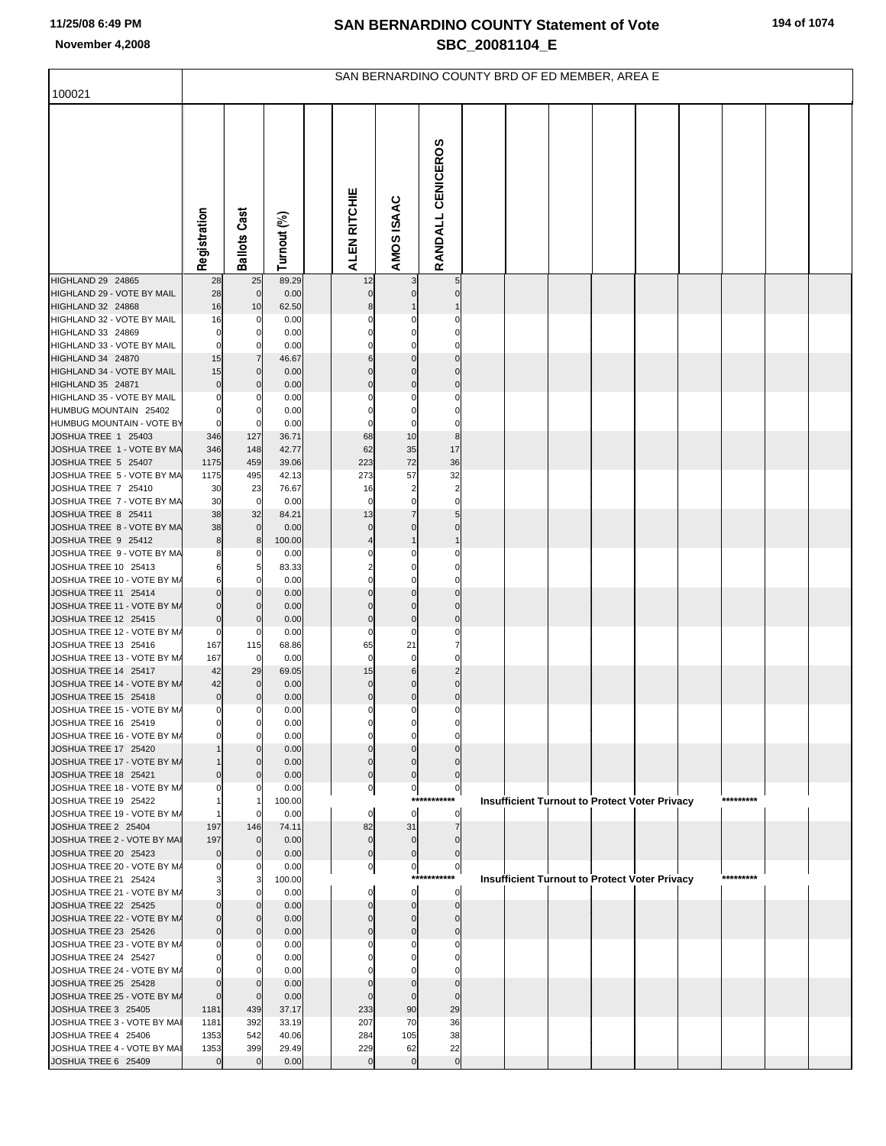|                                                     |                            |                               |                |                          |                          |                          | SAN BERNARDINO COUNTY BRD OF ED MEMBER, AREA E       |  |  |           |  |
|-----------------------------------------------------|----------------------------|-------------------------------|----------------|--------------------------|--------------------------|--------------------------|------------------------------------------------------|--|--|-----------|--|
| 100021                                              |                            |                               |                |                          |                          |                          |                                                      |  |  |           |  |
|                                                     | Registration               | <b>Ballots Cast</b>           | Turnout (%)    | ALEN RITCHIE             | AMOS ISAAC               | RANDALL CENICEROS        |                                                      |  |  |           |  |
| HIGHLAND 29 24865                                   | 28                         | 25                            | 89.29          | 12                       |                          | 5                        |                                                      |  |  |           |  |
| HIGHLAND 29 - VOTE BY MAIL<br>HIGHLAND 32 24868     | 28<br>16                   | $\mathbf 0$<br>10             | 0.00<br>62.50  |                          |                          |                          |                                                      |  |  |           |  |
| HIGHLAND 32 - VOTE BY MAIL                          | 16                         | 0                             | 0.00           |                          |                          |                          |                                                      |  |  |           |  |
| HIGHLAND 33 24869                                   | $\mathbf 0$                | 0                             | 0.00           |                          |                          |                          |                                                      |  |  |           |  |
| HIGHLAND 33 - VOTE BY MAIL                          | $\mathbf 0$                | 0                             | 0.00           |                          |                          |                          |                                                      |  |  |           |  |
| HIGHLAND 34 24870                                   | 15                         | $\overline{7}$                | 46.67          |                          |                          |                          |                                                      |  |  |           |  |
| HIGHLAND 34 - VOTE BY MAIL                          | 15                         | $\mathbf{0}$                  | 0.00           |                          |                          |                          |                                                      |  |  |           |  |
| HIGHLAND 35 24871                                   | $\mathbf 0$                | $\mathbf 0$                   | 0.00           |                          | $\Omega$                 | $\Omega$                 |                                                      |  |  |           |  |
| HIGHLAND 35 - VOTE BY MAIL                          | 0                          | 0                             | 0.00           |                          |                          | 0<br>$\Omega$            |                                                      |  |  |           |  |
| HUMBUG MOUNTAIN 25402<br>HUMBUG MOUNTAIN - VOTE BY  | $\mathbf 0$<br>$\mathbf 0$ | $\Omega$<br>$\mathbf 0$       | 0.00<br>0.00   |                          | 0                        | 0                        |                                                      |  |  |           |  |
| JOSHUA TREE 1 25403                                 | 346                        | 127                           | 36.71          | 68                       | 10                       | $\bf8$                   |                                                      |  |  |           |  |
| JOSHUA TREE 1 - VOTE BY MA                          | 346                        | 148                           | 42.77          | 62                       | 35                       | 17                       |                                                      |  |  |           |  |
| JOSHUA TREE 5 25407                                 | 1175                       | 459                           | 39.06          | 223                      | 72                       | 36                       |                                                      |  |  |           |  |
| JOSHUA TREE 5 - VOTE BY MA                          | 1175                       | 495                           | 42.13          | 273                      | 57                       | 32                       |                                                      |  |  |           |  |
| JOSHUA TREE 7 25410                                 | 30                         | 23                            | 76.67          | 16                       | $\overline{2}$           | $\overline{\mathbf{c}}$  |                                                      |  |  |           |  |
| JOSHUA TREE 7 - VOTE BY MA                          | 30                         | 0                             | 0.00           | 0                        | $\mathbf 0$              | $\mathbf 0$              |                                                      |  |  |           |  |
| JOSHUA TREE 8 25411<br>JOSHUA TREE 8 - VOTE BY MA   | 38<br>38                   | 32<br>$\overline{0}$          | 84.21<br>0.00  | 13<br>0                  | 7<br>$\Omega$            | 5<br>0                   |                                                      |  |  |           |  |
| JOSHUA TREE 9 25412                                 | 8                          | 8                             | 100.00         |                          |                          |                          |                                                      |  |  |           |  |
| JOSHUA TREE 9 - VOTE BY MA                          | 8                          | 0                             | 0.00           |                          |                          |                          |                                                      |  |  |           |  |
| JOSHUA TREE 10 25413                                | 6                          | 5                             | 83.33          |                          |                          |                          |                                                      |  |  |           |  |
| JOSHUA TREE 10 - VOTE BY M/                         | 6                          | 0                             | 0.00           |                          |                          |                          |                                                      |  |  |           |  |
| JOSHUA TREE 11 25414                                | $\Omega$                   | $\mathbf 0$                   | 0.00           |                          | $\Omega$                 |                          |                                                      |  |  |           |  |
| JOSHUA TREE 11 - VOTE BY M/<br>JOSHUA TREE 12 25415 | 0<br>$\mathbf 0$           | $\mathbf{0}$<br>$\mathbf 0$   | 0.00<br>0.00   | $\Omega$                 | $\Omega$<br>$\mathbf 0$  | $\Omega$<br>$\mathbf 0$  |                                                      |  |  |           |  |
| JOSHUA TREE 12 - VOTE BY M/                         | 0                          | 0                             | 0.00           | 0                        | $\mathbf 0$              | 0                        |                                                      |  |  |           |  |
| JOSHUA TREE 13 25416                                | 167                        | 115                           | 68.86          | 65                       | 21                       | 7                        |                                                      |  |  |           |  |
| JOSHUA TREE 13 - VOTE BY M/                         | 167                        | $\overline{0}$                | 0.00           | $\mathbf 0$              | $\mathbf 0$              | $\mathbf 0$              |                                                      |  |  |           |  |
| JOSHUA TREE 14 25417                                | 42                         | 29                            | 69.05          | 15                       | $\,6$                    | $\overline{2}$           |                                                      |  |  |           |  |
| JOSHUA TREE 14 - VOTE BY M/                         | 42                         | $\mathbf{0}$                  | 0.00           | 0                        | 0                        | 0                        |                                                      |  |  |           |  |
| JOSHUA TREE 15 25418                                | $\bf 0$<br>$\overline{0}$  | $\mathbf 0$<br>$\overline{0}$ | 0.00<br>0.00   | $\mathbf 0$<br>$\pmb{0}$ | $\mathbf 0$<br>$\pmb{0}$ | $\mathbf 0$<br>$\pmb{0}$ |                                                      |  |  |           |  |
| JOSHUA TREE 15 - VOTE BY M/<br>JOSHUA TREE 16 25419 | 0                          | $\mathbf 0$                   | 0.00           |                          | 0                        |                          |                                                      |  |  |           |  |
| JOSHUA TREE 16 - VOTE BY M/                         | O                          | $\Omega$                      | 0.00           | 0                        | $\Omega$                 |                          |                                                      |  |  |           |  |
| JOSHUA TREE 17 25420                                |                            | $\Omega$                      | 0.00           |                          | O                        |                          |                                                      |  |  |           |  |
| JOSHUA TREE 17 - VOTE BY M/                         |                            | $\mathbf{0}$                  | 0.00           | 0                        | $\Omega$                 |                          |                                                      |  |  |           |  |
| JOSHUA TREE 18 25421                                |                            | $\Omega$                      | 0.00           | $\Omega$                 | $\mathbf 0$              | $\Omega$                 |                                                      |  |  |           |  |
| JOSHUA TREE 18 - VOTE BY M/<br>JOSHUA TREE 19 25422 |                            | 0                             | 0.00<br>100.00 | 0                        | $\pmb{0}$<br>****        | $\boldsymbol{0}$         | <b>Insufficient Turnout to Protect Voter Privacy</b> |  |  | ********* |  |
| JOSHUA TREE 19 - VOTE BY M/                         |                            | $\mathbf 0$                   | 0.00           | $\mathbf 0$              | $\mathbf 0$              | $\mathbf 0$              |                                                      |  |  |           |  |
| JOSHUA TREE 2 25404                                 | 197                        | 146                           | 74.11          | 82                       | 31                       | $\overline{7}$           |                                                      |  |  |           |  |
| JOSHUA TREE 2 - VOTE BY MAI                         | 197                        | $\mathbf{0}$                  | 0.00           | $\mathbf 0$              | $\mathbf 0$              | $\Omega$                 |                                                      |  |  |           |  |
| JOSHUA TREE 20 25423                                | $\mathbf 0$                | $\mathbf{0}$                  | 0.00           | $\mathbf 0$              | $\mathbf 0$              | $\mathbf 0$              |                                                      |  |  |           |  |
| JOSHUA TREE 20 - VOTE BY M/                         | 0                          | 0                             | 0.00           | 0                        | 0                        | 0                        |                                                      |  |  |           |  |
| JOSHUA TREE 21 25424<br>JOSHUA TREE 21 - VOTE BY M/ |                            | $\Omega$                      | 100.00         | $\mathbf 0$              | ***:<br>$\mathbf 0$      | ****<br>$\mathbf 0$      | <b>Insufficient Turnout to Protect Voter Privacy</b> |  |  | ********* |  |
| JOSHUA TREE 22 25425                                |                            | $\mathbf{0}$                  | 0.00<br>0.00   | O                        | $\mathbf 0$              | $\mathbf{0}$             |                                                      |  |  |           |  |
| JOSHUA TREE 22 - VOTE BY M/                         |                            | $\mathbf{0}$                  | 0.00           | O                        | $\mathbf 0$              | $\Omega$                 |                                                      |  |  |           |  |
| JOSHUA TREE 23 25426                                | $\Omega$                   | $\mathbf{0}$                  | 0.00           | n                        | $\Omega$                 | $\Omega$                 |                                                      |  |  |           |  |
| JOSHUA TREE 23 - VOTE BY M/                         |                            | 0                             | 0.00           |                          |                          |                          |                                                      |  |  |           |  |
| JOSHUA TREE 24 25427                                |                            |                               | 0.00           |                          |                          |                          |                                                      |  |  |           |  |
| JOSHUA TREE 24 - VOTE BY M/                         |                            | $\mathbf 0$                   | 0.00           |                          |                          |                          |                                                      |  |  |           |  |
| JOSHUA TREE 25 25428<br>JOSHUA TREE 25 - VOTE BY M/ | $\Omega$                   | $\overline{0}$                | 0.00<br>0.00   |                          | $\Omega$                 | $\Omega$                 |                                                      |  |  |           |  |
| JOSHUA TREE 3 25405                                 | 1181                       | 439                           | 37.17          | 233                      | 90                       | 29                       |                                                      |  |  |           |  |
| JOSHUA TREE 3 - VOTE BY MAI                         | 1181                       | 392                           | 33.19          | 207                      | 70                       | 36                       |                                                      |  |  |           |  |
| JOSHUA TREE 4 25406                                 | 1353                       | 542                           | 40.06          | 284                      | 105                      | 38                       |                                                      |  |  |           |  |
| JOSHUA TREE 4 - VOTE BY MAI                         | 1353                       | 399                           | 29.49          | 229                      | 62                       | 22                       |                                                      |  |  |           |  |
| JOSHUA TREE 6 25409                                 | $\mathbf 0$                | $\overline{0}$                | 0.00           | $\mathbf 0$              | $\mathbf 0$              | $\mathbf 0$              |                                                      |  |  |           |  |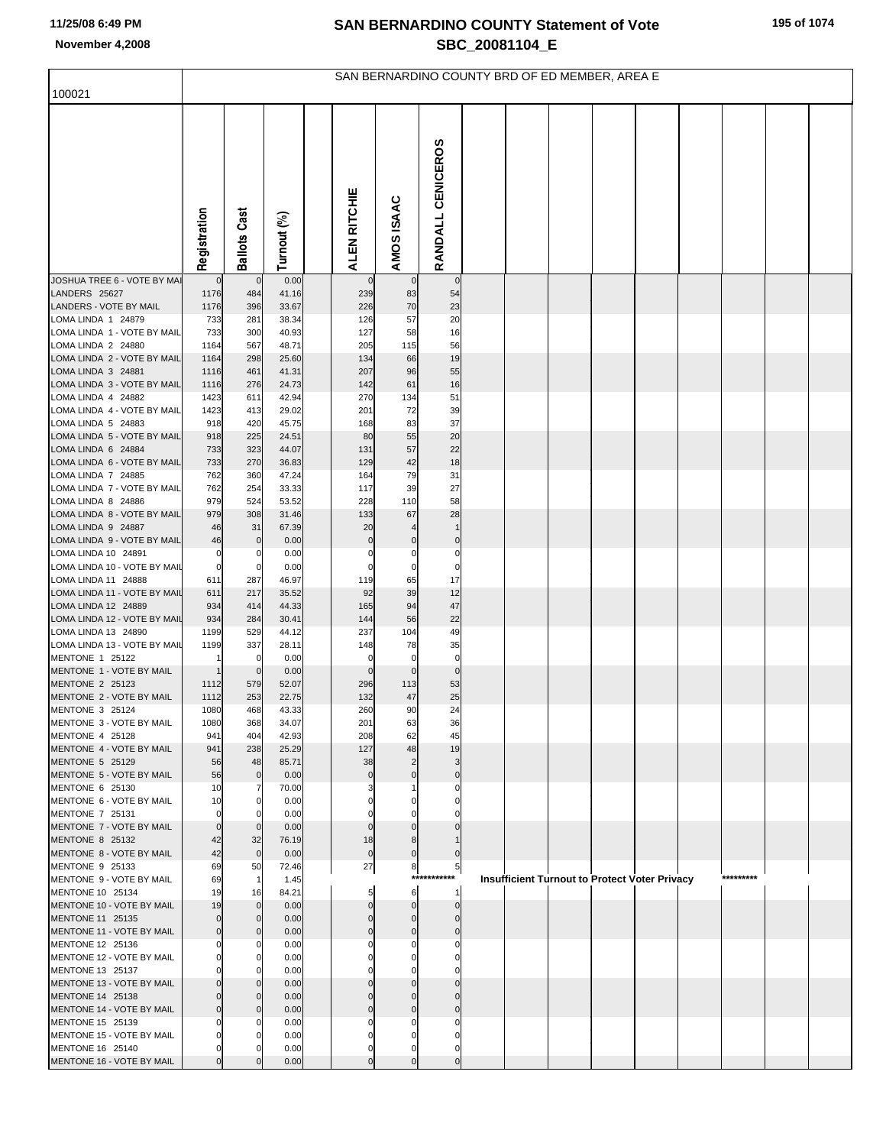|                                                     |                     |                      |                | SAN BERNARDINO COUNTY BRD OF ED MEMBER, AREA E |                            |                   |  |  |                                                      |           |  |
|-----------------------------------------------------|---------------------|----------------------|----------------|------------------------------------------------|----------------------------|-------------------|--|--|------------------------------------------------------|-----------|--|
| 100021                                              |                     |                      |                |                                                |                            |                   |  |  |                                                      |           |  |
|                                                     | Registration        | <b>Ballots Cast</b>  | Turnout (%)    | ALEN RITCHIE                                   | AMOS ISAAC                 | RANDALL CENICEROS |  |  |                                                      |           |  |
| JOSHUA TREE 6 - VOTE BY MAI                         | $\mathbf 0$         | $\mathbf 0$          | 0.00           | $\overline{0}$                                 | $\mathbf 0$                | $\overline{0}$    |  |  |                                                      |           |  |
| LANDERS 25627<br>LANDERS - VOTE BY MAIL             | 1176<br>1176        | 484<br>396           | 41.16<br>33.67 | 239<br>226                                     | 83<br>70                   | 54<br>23          |  |  |                                                      |           |  |
| LOMA LINDA 1 24879                                  | 733                 | 281                  | 38.34          | 126                                            | 57                         | 20                |  |  |                                                      |           |  |
| LOMA LINDA 1 - VOTE BY MAIL                         | 733                 | 300                  | 40.93          | 127                                            | 58                         | 16                |  |  |                                                      |           |  |
| LOMA LINDA 2 24880                                  | 1164                | 567                  | 48.71          | 205                                            | 115                        | 56                |  |  |                                                      |           |  |
| LOMA LINDA 2 - VOTE BY MAIL                         | 1164                | 298                  | 25.60          | 134                                            | 66                         | 19                |  |  |                                                      |           |  |
| LOMA LINDA 3 24881<br>LOMA LINDA 3 - VOTE BY MAIL   | 1116                | 461<br>276           | 41.31<br>24.73 | 207<br>142                                     | 96<br>61                   | 55<br>16          |  |  |                                                      |           |  |
| LOMA LINDA 4 24882                                  | 1116<br>1423        | 611                  | 42.94          | 270                                            | 134                        | 51                |  |  |                                                      |           |  |
| LOMA LINDA 4 - VOTE BY MAIL                         | 1423                | 413                  | 29.02          | 201                                            | 72                         | 39                |  |  |                                                      |           |  |
| LOMA LINDA 5 24883                                  | 918                 | 420                  | 45.75          | 168                                            | 83                         | 37                |  |  |                                                      |           |  |
| LOMA LINDA 5 - VOTE BY MAIL                         | 918                 | 225                  | 24.51          | 80                                             | 55                         | 20                |  |  |                                                      |           |  |
| LOMA LINDA 6 24884                                  | 733                 | 323                  | 44.07          | 131                                            | 57                         | 22                |  |  |                                                      |           |  |
| LOMA LINDA 6 - VOTE BY MAIL<br>LOMA LINDA 7 24885   | 733<br>762          | 270<br>360           | 36.83<br>47.24 | 129<br>164                                     | 42<br>79                   | 18<br>31          |  |  |                                                      |           |  |
| LOMA LINDA 7 - VOTE BY MAIL                         | 762                 | 254                  | 33.33          | 117                                            | 39                         | 27                |  |  |                                                      |           |  |
| LOMA LINDA 8 24886                                  | 979                 | 524                  | 53.52          | 228                                            | 110                        | 58                |  |  |                                                      |           |  |
| LOMA LINDA 8 - VOTE BY MAIL                         | 979                 | 308                  | 31.46          | 133                                            | 67                         | 28                |  |  |                                                      |           |  |
| LOMA LINDA 9 24887                                  | 46                  | 31                   | 67.39          | 20                                             |                            | $\mathbf{1}$      |  |  |                                                      |           |  |
| LOMA LINDA 9 - VOTE BY MAIL<br>LOMA LINDA 10 24891  | 46<br>0             | $\mathbf 0$<br>0     | 0.00<br>0.00   | $\pmb{0}$<br>0                                 | 0<br>0                     | $\pmb{0}$<br>0    |  |  |                                                      |           |  |
| LOMA LINDA 10 - VOTE BY MAIL                        | $\pmb{0}$           | $\mathbf 0$          | 0.00           | $\mathbf 0$                                    | $\mathbf 0$                | $\pmb{0}$         |  |  |                                                      |           |  |
| LOMA LINDA 11 24888                                 | 611                 | 287                  | 46.97          | 119                                            | 65                         | 17                |  |  |                                                      |           |  |
| LOMA LINDA 11 - VOTE BY MAIL                        | 611                 | 217                  | 35.52          | 92                                             | 39                         | 12                |  |  |                                                      |           |  |
| LOMA LINDA 12 24889<br>LOMA LINDA 12 - VOTE BY MAIL | 934<br>934          | 414<br>284           | 44.33<br>30.41 | 165<br>144                                     | 94<br>56                   | 47<br>22          |  |  |                                                      |           |  |
| LOMA LINDA 13 24890                                 | 1199                | 529                  | 44.12          | 237                                            | 104                        | 49                |  |  |                                                      |           |  |
| LOMA LINDA 13 - VOTE BY MAIL                        | 1199                | 337                  | 28.11          | 148                                            | 78                         | 35                |  |  |                                                      |           |  |
| MENTONE 1 25122                                     |                     | $\mathbf 0$          | 0.00           | 0                                              | $\mathbf 0$                | $\pmb{0}$         |  |  |                                                      |           |  |
| MENTONE 1 - VOTE BY MAIL<br>MENTONE 2 25123         | 1<br>1112           | $\mathbf 0$<br>579   | 0.00<br>52.07  | $\mathbf 0$<br>296                             | $\mathbf 0$<br>113         | $\pmb{0}$<br>53   |  |  |                                                      |           |  |
| MENTONE 2 - VOTE BY MAIL                            | 1112                | 253                  | 22.75          | 132                                            | 47                         | 25                |  |  |                                                      |           |  |
| MENTONE 3 25124                                     | 1080                | 468                  | 43.33          | 260                                            | 90                         | 24                |  |  |                                                      |           |  |
| MENTONE 3 - VOTE BY MAIL                            | 1080                | 368                  | 34.07          | 201                                            | 63                         | 36                |  |  |                                                      |           |  |
| MENTONE 4 25128                                     | 941                 | 404                  | 42.93          | 208                                            | 62                         | 45                |  |  |                                                      |           |  |
| MENTONE 4 - VOTE BY MAIL<br>MENTONE 5 25129         | 941<br>56           | 238<br>48            | 25.29<br>85.71 | 127<br>38                                      | 48<br>$\overline{c}$       | 19<br>3           |  |  |                                                      |           |  |
| MENTONE 5 - VOTE BY MAIL                            | 56                  | $\mathbf 0$          | 0.00           | $\mathbf 0$                                    | $\mathbf 0$                | $\mathbf 0$       |  |  |                                                      |           |  |
| MENTONE 6 25130                                     | 10                  | 7                    | 70.00          |                                                |                            | 0                 |  |  |                                                      |           |  |
| MENTONE 6 - VOTE BY MAIL                            | 10                  | $\Omega$             | 0.00           |                                                | $\mathbf 0$                | $\Omega$          |  |  |                                                      |           |  |
| MENTONE 7 25131<br>MENTONE 7 - VOTE BY MAIL         | 0<br>$\overline{0}$ | $\Omega$<br>$\Omega$ | 0.00<br>0.00   | 0<br>$\mathbf 0$                               | 0<br>$\mathbf 0$           |                   |  |  |                                                      |           |  |
| MENTONE 8 25132                                     | 42                  | 32                   | 76.19          | 18                                             | 8                          |                   |  |  |                                                      |           |  |
| MENTONE 8 - VOTE BY MAIL                            | 42                  | $\overline{0}$       | 0.00           | $\overline{0}$                                 | $\pmb{0}$                  | $\mathbf{0}$      |  |  |                                                      |           |  |
| MENTONE 9 25133                                     | 69                  | 50                   | 72.46          | 27                                             | 8                          | $5 \mid$          |  |  |                                                      |           |  |
| MENTONE 9 - VOTE BY MAIL<br>MENTONE 10 25134        | 69                  | $\overline{1}$       | 1.45           |                                                | $***$                      | r**               |  |  | <b>Insufficient Turnout to Protect Voter Privacy</b> | ********* |  |
| MENTONE 10 - VOTE BY MAIL                           | 19<br>19            | 16<br>$\Omega$       | 84.21<br>0.00  | 5<br>$\mathbf 0$                               | 6<br>$\overline{0}$        | 1<br>$\mathbf 0$  |  |  |                                                      |           |  |
| MENTONE 11 25135                                    | 0                   | $\mathbf 0$          | 0.00           | $\mathbf 0$                                    | $\overline{0}$             | $\mathbf 0$       |  |  |                                                      |           |  |
| MENTONE 11 - VOTE BY MAIL                           | 0                   | $\Omega$             | 0.00           | $\mathbf 0$                                    | $\mathbf 0$                | $\mathbf 0$       |  |  |                                                      |           |  |
| MENTONE 12 25136                                    |                     | $\Omega$             | 0.00           | 0                                              | 0                          | 0                 |  |  |                                                      |           |  |
| MENTONE 12 - VOTE BY MAIL<br>MENTONE 13 25137       |                     | $\Omega$<br>$\Omega$ | 0.00<br>0.00   |                                                | $\mathbf 0$<br>0           | $\Omega$<br>0     |  |  |                                                      |           |  |
| MENTONE 13 - VOTE BY MAIL                           | O                   | $\Omega$             | 0.00           | $\mathbf 0$                                    | $\mathbf 0$                | $\Omega$          |  |  |                                                      |           |  |
| MENTONE 14 25138                                    | $\Omega$            | $\Omega$             | 0.00           | $\mathbf 0$                                    | $\mathbf 0$                | $\mathbf{0}$      |  |  |                                                      |           |  |
| MENTONE 14 - VOTE BY MAIL                           | $\Omega$            | $\Omega$             | 0.00           | $\Omega$                                       | $\mathbf 0$                | $\mathbf 0$       |  |  |                                                      |           |  |
| MENTONE 15 25139                                    |                     | $\Omega$             | 0.00           | $\Omega$                                       | 0                          | $\Omega$          |  |  |                                                      |           |  |
| MENTONE 15 - VOTE BY MAIL<br>MENTONE 16 25140       | 0<br>0              | O                    | 0.00<br>0.00   | $\mathbf 0$<br>0                               | $\mathbf 0$<br>$\mathbf 0$ | $\Omega$<br>0     |  |  |                                                      |           |  |
| MENTONE 16 - VOTE BY MAIL                           | $\mathbf 0$         |                      | 0.00           | $\mathbf 0$                                    | $\overline{0}$             | $\overline{0}$    |  |  |                                                      |           |  |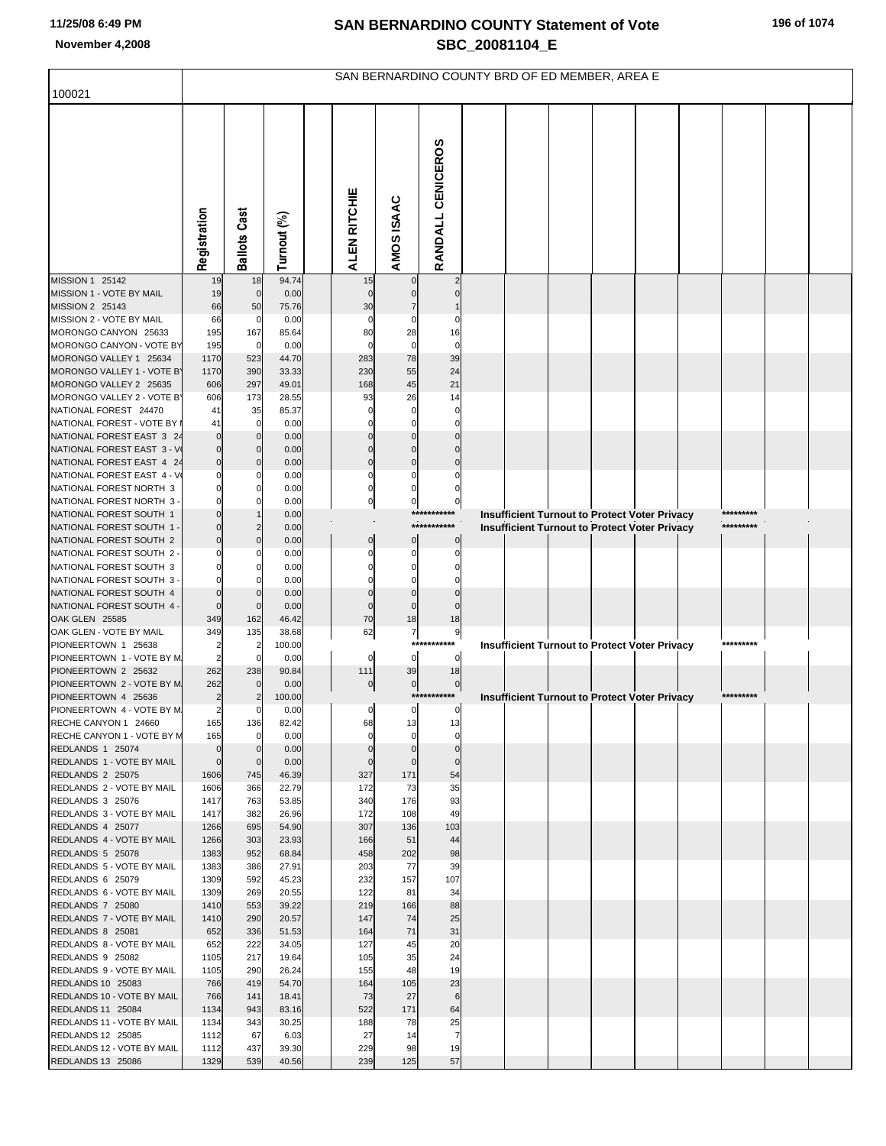|                                                         |                       |                          |                |              |                      |                      | SAN BERNARDINO COUNTY BRD OF ED MEMBER, AREA E |  |  |                                                                                                       |           |  |
|---------------------------------------------------------|-----------------------|--------------------------|----------------|--------------|----------------------|----------------------|------------------------------------------------|--|--|-------------------------------------------------------------------------------------------------------|-----------|--|
| 100021                                                  |                       |                          |                |              |                      |                      |                                                |  |  |                                                                                                       |           |  |
|                                                         | Registration          | <b>Ballots Cast</b>      | Turnout (%)    | ALEN RITCHIE |                      | AMOS ISAAC           | RANDALL CENICEROS                              |  |  |                                                                                                       |           |  |
| MISSION 1 25142                                         | 19                    | 18                       | 94.74          |              | 15                   |                      |                                                |  |  |                                                                                                       |           |  |
| MISSION 1 - VOTE BY MAIL<br>MISSION 2 25143             | 19<br>66              | $\mathbf{0}$<br>50       | 0.00<br>75.76  |              | 30                   |                      |                                                |  |  |                                                                                                       |           |  |
| MISSION 2 - VOTE BY MAIL                                | 66                    | $\mathbf 0$              | 0.00           |              |                      |                      |                                                |  |  |                                                                                                       |           |  |
| MORONGO CANYON 25633                                    | 195                   | 167                      | 85.64          |              | 80                   | 28                   | 16                                             |  |  |                                                                                                       |           |  |
| MORONGO CANYON - VOTE BY                                | 195                   | $\mathbf 0$              | 0.00           |              |                      | 0                    | 0                                              |  |  |                                                                                                       |           |  |
| MORONGO VALLEY 1 25634<br>MORONGO VALLEY 1 - VOTE B'    | 1170<br>1170          | 523<br>390               | 44.70<br>33.33 |              | 283<br>230           | 78<br>55             | 39<br>24                                       |  |  |                                                                                                       |           |  |
| MORONGO VALLEY 2 25635                                  | 606                   | 297                      | 49.01          |              | 168                  | 45                   | 21                                             |  |  |                                                                                                       |           |  |
| MORONGO VALLEY 2 - VOTE B'                              | 606                   | 173                      | 28.55          |              | 93                   | 26                   | 14                                             |  |  |                                                                                                       |           |  |
| NATIONAL FOREST 24470                                   | 41                    | 35                       | 85.37          |              |                      |                      | 0                                              |  |  |                                                                                                       |           |  |
| NATIONAL FOREST - VOTE BY                               | 41                    | 0                        | 0.00           |              |                      |                      |                                                |  |  |                                                                                                       |           |  |
| NATIONAL FOREST EAST 3 24<br>NATIONAL FOREST EAST 3 - V |                       | <sup>r</sup><br>$\Omega$ | 0.00<br>0.00   |              |                      |                      |                                                |  |  |                                                                                                       |           |  |
| NATIONAL FOREST EAST 4 24                               |                       | <sup>r</sup>             | 0.00           |              |                      | $\Omega$             |                                                |  |  |                                                                                                       |           |  |
| NATIONAL FOREST EAST 4 - V                              |                       | C                        | 0.00           |              |                      |                      |                                                |  |  |                                                                                                       |           |  |
| NATIONAL FOREST NORTH 3                                 |                       |                          | 0.00           |              |                      |                      |                                                |  |  |                                                                                                       |           |  |
| NATIONAL FOREST NORTH 3                                 |                       | 0                        | 0.00           |              | 0                    | 0                    | 0<br>***********                               |  |  |                                                                                                       | ********* |  |
| NATIONAL FOREST SOUTH 1<br>NATIONAL FOREST SOUTH 1      |                       | 2                        | 0.00<br>0.00   |              |                      |                      | ***********                                    |  |  | <b>Insufficient Turnout to Protect Voter Privacy</b><br>Insufficient Turnout to Protect Voter Privacy | ********* |  |
| NATIONAL FOREST SOUTH 2                                 |                       | <sup>r</sup>             | 0.00           |              | $\mathbf 0$          | $\mathbf 0$          | $\mathbf 0$                                    |  |  |                                                                                                       |           |  |
| NATIONAL FOREST SOUTH 2                                 |                       |                          | 0.00           |              |                      |                      |                                                |  |  |                                                                                                       |           |  |
| NATIONAL FOREST SOUTH 3                                 |                       |                          | 0.00           |              |                      |                      |                                                |  |  |                                                                                                       |           |  |
| NATIONAL FOREST SOUTH 3<br>NATIONAL FOREST SOUTH 4      |                       |                          | 0.00<br>0.00   |              |                      |                      |                                                |  |  |                                                                                                       |           |  |
| NATIONAL FOREST SOUTH 4 -                               |                       | $\mathbf 0$              | 0.00           |              |                      | $\mathbf 0$          |                                                |  |  |                                                                                                       |           |  |
| OAK GLEN 25585                                          | 349                   | 162                      | 46.42          |              | 70                   | 18                   | 18                                             |  |  |                                                                                                       |           |  |
| OAK GLEN - VOTE BY MAIL                                 | 349                   | 135                      | 38.68          |              | 62                   | 7<br>***             | 9<br>****                                      |  |  |                                                                                                       |           |  |
| PIONEERTOWN 1 25638<br>PIONEERTOWN 1 - VOTE BY M        | 2                     | 2<br>$\Omega$            | 100.00<br>0.00 |              | 0                    | $\mathbf 0$          | $\mathbf 0$                                    |  |  | <b>Insufficient Turnout to Protect Voter Privacy</b>                                                  |           |  |
| PIONEERTOWN 2 25632                                     | 262                   | 238                      | 90.84          |              | 111                  | 39                   | 18                                             |  |  |                                                                                                       |           |  |
| PIONEERTOWN 2 - VOTE BY M                               | 262                   | $\Omega$                 | 0.00           |              | 0                    | $\overline{0}$       | 0                                              |  |  |                                                                                                       |           |  |
| PIONEERTOWN 4 25636                                     | 2                     | 2                        | 100.00         |              |                      |                      | ***********                                    |  |  | <b>Insufficient Turnout to Protect Voter Privacy</b>                                                  | ********* |  |
| PIONEERTOWN 4 - VOTE BY M<br>RECHE CANYON 1 24660       | $\overline{2}$<br>165 | 0<br>136                 | 0.00<br>82.42  |              | $\overline{0}$<br>68 | $\overline{0}$<br>13 | $\overline{0}$<br>13                           |  |  |                                                                                                       |           |  |
| RECHE CANYON 1 - VOTE BY M                              | 165                   | 0                        | 0.00           |              | 0                    | 0                    | 0                                              |  |  |                                                                                                       |           |  |
| REDLANDS 1 25074                                        | $\overline{0}$        | <sup>r</sup>             | 0.00           |              | $\Omega$             | $\Omega$             | $\mathbf 0$                                    |  |  |                                                                                                       |           |  |
| REDLANDS 1 - VOTE BY MAIL                               | $\overline{0}$        | $\mathbf 0$              | 0.00           |              | $\Omega$             | $\mathbf 0$          | $\mathbf 0$                                    |  |  |                                                                                                       |           |  |
| REDLANDS 2 25075<br>REDLANDS 2 - VOTE BY MAIL           | 1606<br>1606          | 745<br>366               | 46.39<br>22.79 |              | 327<br>172           | 171<br>73            | 54<br>35                                       |  |  |                                                                                                       |           |  |
| REDLANDS 3 25076                                        | 1417                  | 763                      | 53.85          |              | 340                  | 176                  | 93                                             |  |  |                                                                                                       |           |  |
| REDLANDS 3 - VOTE BY MAIL                               | 1417                  | 382                      | 26.96          |              | 172                  | 108                  | 49                                             |  |  |                                                                                                       |           |  |
| REDLANDS 4 25077                                        | 1266                  | 695                      | 54.90          |              | 307                  | 136                  | 103                                            |  |  |                                                                                                       |           |  |
| REDLANDS 4 - VOTE BY MAIL<br>REDLANDS 5 25078           | 1266<br>1383          | 303<br>952               | 23.93<br>68.84 |              | 166<br>458           | 51<br>202            | 44<br>98                                       |  |  |                                                                                                       |           |  |
| REDLANDS 5 - VOTE BY MAIL                               | 1383                  | 386                      | 27.91          |              | 203                  | 77                   | 39                                             |  |  |                                                                                                       |           |  |
| REDLANDS 6 25079                                        | 1309                  | 592                      | 45.23          |              | 232                  | 157                  | 107                                            |  |  |                                                                                                       |           |  |
| REDLANDS 6 - VOTE BY MAIL                               | 1309                  | 269                      | 20.55          |              | 122                  | 81                   | 34                                             |  |  |                                                                                                       |           |  |
| REDLANDS 7 25080                                        | 1410                  | 553                      | 39.22          |              | 219                  | 166                  | 88                                             |  |  |                                                                                                       |           |  |
| REDLANDS 7 - VOTE BY MAIL<br>REDLANDS 8 25081           | 1410<br>652           | 290<br>336               | 20.57<br>51.53 |              | 147<br>164           | 74<br>71             | 25<br>31                                       |  |  |                                                                                                       |           |  |
| REDLANDS 8 - VOTE BY MAIL                               | 652                   | 222                      | 34.05          |              | 127                  | 45                   | 20                                             |  |  |                                                                                                       |           |  |
| REDLANDS 9 25082                                        | 1105                  | 217                      | 19.64          |              | 105                  | 35                   | 24                                             |  |  |                                                                                                       |           |  |
| REDLANDS 9 - VOTE BY MAIL                               | 1105                  | 290                      | 26.24          |              | 155                  | 48                   | 19                                             |  |  |                                                                                                       |           |  |
| REDLANDS 10 25083<br>REDLANDS 10 - VOTE BY MAIL         | 766<br>766            | 419<br>141               | 54.70<br>18.41 |              | 164<br>73            | 105<br>27            | 23<br>6                                        |  |  |                                                                                                       |           |  |
| REDLANDS 11 25084                                       | 1134                  | 943                      | 83.16          |              | 522                  | 171                  | 64                                             |  |  |                                                                                                       |           |  |
| REDLANDS 11 - VOTE BY MAIL                              | 1134                  | 343                      | 30.25          |              | 188                  | 78                   | 25                                             |  |  |                                                                                                       |           |  |
| REDLANDS 12 25085                                       | 1112                  | 67                       | 6.03           |              | 27                   | 14                   | $\overline{7}$                                 |  |  |                                                                                                       |           |  |
| REDLANDS 12 - VOTE BY MAIL                              | 1112                  | 437                      | 39.30          |              | 229                  | 98                   | 19                                             |  |  |                                                                                                       |           |  |
| REDLANDS 13 25086                                       | 1329                  | 539                      | 40.56          |              | 239                  | 125                  | 57                                             |  |  |                                                                                                       |           |  |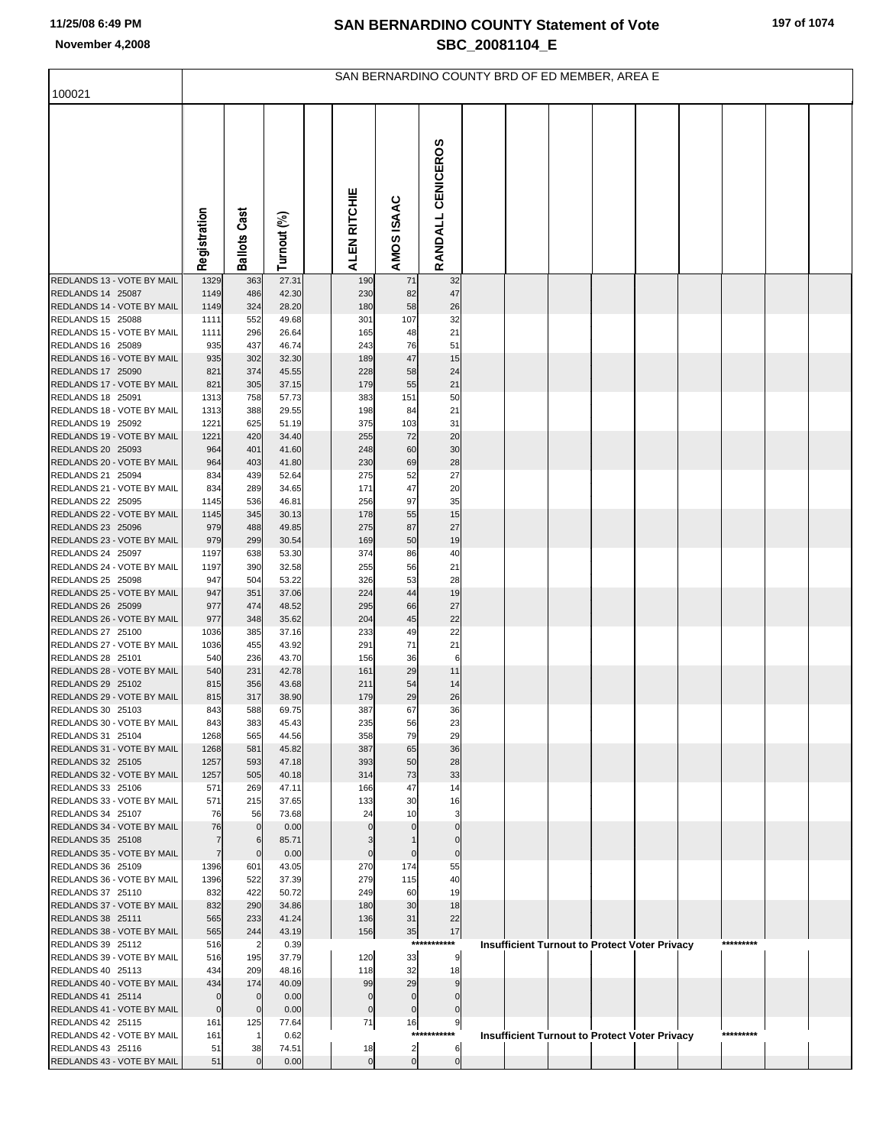|                                                 |                                  |                            |                |                               |                                  | SAN BERNARDINO COUNTY BRD OF ED MEMBER, AREA E |  |  |                                                      |           |  |
|-------------------------------------------------|----------------------------------|----------------------------|----------------|-------------------------------|----------------------------------|------------------------------------------------|--|--|------------------------------------------------------|-----------|--|
| 100021                                          |                                  |                            |                |                               |                                  |                                                |  |  |                                                      |           |  |
|                                                 | Registration                     | <b>Ballots Cast</b>        | Turnout (%)    | ALEN RITCHIE                  | AMOS ISAAC                       | RANDALL CENICEROS                              |  |  |                                                      |           |  |
| REDLANDS 13 - VOTE BY MAIL                      | 1329                             | 363                        | 27.31          | 190                           | 71                               | 32                                             |  |  |                                                      |           |  |
| REDLANDS 14 25087                               | 1149                             | 486                        | 42.30          | 230                           | 82                               | 47                                             |  |  |                                                      |           |  |
| REDLANDS 14 - VOTE BY MAIL                      | 1149                             | 324                        | 28.20          | 180                           | 58                               | 26                                             |  |  |                                                      |           |  |
| REDLANDS 15 25088<br>REDLANDS 15 - VOTE BY MAIL | 1111<br>1111                     | 552<br>296                 | 49.68<br>26.64 | 301<br>165                    | 107<br>48                        | 32<br>21                                       |  |  |                                                      |           |  |
| REDLANDS 16 25089                               | 935                              | 437                        | 46.74          | 243                           | 76                               | 51                                             |  |  |                                                      |           |  |
| REDLANDS 16 - VOTE BY MAIL                      | 935                              | 302                        | 32.30          | 189                           | 47                               | 15                                             |  |  |                                                      |           |  |
| REDLANDS 17 25090                               | 821                              | 374                        | 45.55          | 228                           | 58                               | 24                                             |  |  |                                                      |           |  |
| REDLANDS 17 - VOTE BY MAIL                      | 821                              | 305                        | 37.15          | 179                           | 55                               | 21                                             |  |  |                                                      |           |  |
| REDLANDS 18 25091                               | 1313                             | 758                        | 57.73          | 383                           | 151                              | 50                                             |  |  |                                                      |           |  |
| REDLANDS 18 - VOTE BY MAIL<br>REDLANDS 19 25092 | 1313<br>1221                     | 388<br>625                 | 29.55<br>51.19 | 198<br>375                    | 84<br>103                        | 21<br>31                                       |  |  |                                                      |           |  |
| REDLANDS 19 - VOTE BY MAIL                      | 1221                             | 420                        | 34.40          | 255                           | 72                               | 20                                             |  |  |                                                      |           |  |
| REDLANDS 20 25093                               | 964                              | 401                        | 41.60          | 248                           | 60                               | 30                                             |  |  |                                                      |           |  |
| REDLANDS 20 - VOTE BY MAIL                      | 964                              | 403                        | 41.80          | 230                           | 69                               | 28                                             |  |  |                                                      |           |  |
| REDLANDS 21 25094                               | 834                              | 439                        | 52.64          | 275                           | 52                               | 27                                             |  |  |                                                      |           |  |
| REDLANDS 21 - VOTE BY MAIL                      | 834                              | 289                        | 34.65          | 171                           | 47                               | 20                                             |  |  |                                                      |           |  |
| REDLANDS 22 25095<br>REDLANDS 22 - VOTE BY MAIL | 1145<br>1145                     | 536<br>345                 | 46.81<br>30.13 | 256<br>178                    | 97<br>55                         | 35<br>15                                       |  |  |                                                      |           |  |
| REDLANDS 23 25096                               | 979                              | 488                        | 49.85          | 275                           | 87                               | 27                                             |  |  |                                                      |           |  |
| REDLANDS 23 - VOTE BY MAIL                      | 979                              | 299                        | 30.54          | 169                           | 50                               | 19                                             |  |  |                                                      |           |  |
| REDLANDS 24 25097                               | 1197                             | 638                        | 53.30          | 374                           | 86                               | 40                                             |  |  |                                                      |           |  |
| REDLANDS 24 - VOTE BY MAIL                      | 1197                             | 390                        | 32.58          | 255                           | 56                               | 21                                             |  |  |                                                      |           |  |
| REDLANDS 25 25098                               | 947                              | 504                        | 53.22          | 326                           | 53                               | 28                                             |  |  |                                                      |           |  |
| REDLANDS 25 - VOTE BY MAIL<br>REDLANDS 26 25099 | 947<br>977                       | 351<br>474                 | 37.06<br>48.52 | 224<br>295                    | 44<br>66                         | 19<br>27                                       |  |  |                                                      |           |  |
| REDLANDS 26 - VOTE BY MAIL                      | 977                              | 348                        | 35.62          | 204                           | 45                               | 22                                             |  |  |                                                      |           |  |
| REDLANDS 27 25100                               | 1036                             | 385                        | 37.16          | 233                           | 49                               | 22                                             |  |  |                                                      |           |  |
| REDLANDS 27 - VOTE BY MAIL                      | 1036                             | 455                        | 43.92          | 291                           | 71                               | 21                                             |  |  |                                                      |           |  |
| REDLANDS 28 25101                               | 540                              | 236                        | 43.70          | 156                           | 36                               | 6                                              |  |  |                                                      |           |  |
| REDLANDS 28 - VOTE BY MAIL<br>REDLANDS 29 25102 | 540<br>815                       | 231<br>356                 | 42.78<br>43.68 | 161<br>211                    | 29<br>54                         | 11<br>14                                       |  |  |                                                      |           |  |
| REDLANDS 29 - VOTE BY MAIL                      | 815                              | 317                        | 38.90          | 179                           | 29                               | 26                                             |  |  |                                                      |           |  |
| REDLANDS 30 25103                               | 843                              | 588                        | 69.75          | 387                           | 67                               | 36                                             |  |  |                                                      |           |  |
| REDLANDS 30 - VOTE BY MAIL                      | 843                              | 383                        | 45.43          | 235                           | 56                               | 23                                             |  |  |                                                      |           |  |
| REDLANDS 31 25104                               | 1268                             | 565                        | 44.56          | 358                           | 79                               | 29                                             |  |  |                                                      |           |  |
| REDLANDS 31 - VOTE BY MAIL                      | 1268                             | 581                        | 45.82          | 387                           | 65<br>50                         | 36<br>28                                       |  |  |                                                      |           |  |
| REDLANDS 32 25105<br>REDLANDS 32 - VOTE BY MAIL | 1257<br>1257                     | 593<br>505                 | 47.18<br>40.18 | 393<br>314                    | 73                               | 33                                             |  |  |                                                      |           |  |
| REDLANDS 33 25106                               | 571                              | 269                        | 47.11          | 166                           | 47                               | 14                                             |  |  |                                                      |           |  |
| REDLANDS 33 - VOTE BY MAIL                      | 571                              | 215                        | 37.65          | 133                           | 30                               | 16                                             |  |  |                                                      |           |  |
| REDLANDS 34 25107                               | 76                               | 56                         | 73.68          | 24                            | 10                               | 3                                              |  |  |                                                      |           |  |
| REDLANDS 34 - VOTE BY MAIL<br>REDLANDS 35 25108 | 76                               | $\mathbf 0$<br>6           | 0.00<br>85.71  | $\Omega$<br>3                 | $\Omega$                         | $\Omega$<br>$\Omega$                           |  |  |                                                      |           |  |
| REDLANDS 35 - VOTE BY MAIL                      | $\overline{7}$<br>$\overline{7}$ | $\mathsf{C}$               | 0.00           | $\mathbf 0$                   | $\mathbf 0$                      | $\mathbf 0$                                    |  |  |                                                      |           |  |
| REDLANDS 36 25109                               | 1396                             | 601                        | 43.05          | 270                           | 174                              | 55                                             |  |  |                                                      |           |  |
| REDLANDS 36 - VOTE BY MAIL                      | 1396                             | 522                        | 37.39          | 279                           | 115                              | 40                                             |  |  |                                                      |           |  |
| REDLANDS 37 25110                               | 832                              | 422                        | 50.72          | 249                           | 60                               | 19                                             |  |  |                                                      |           |  |
| REDLANDS 37 - VOTE BY MAIL                      | 832                              | 290                        | 34.86          | 180                           | 30                               | 18                                             |  |  |                                                      |           |  |
| REDLANDS 38 25111<br>REDLANDS 38 - VOTE BY MAIL | 565<br>565                       | 233<br>244                 | 41.24<br>43.19 | 136<br>156                    | 31<br>35                         | 22<br>17                                       |  |  |                                                      |           |  |
| REDLANDS 39 25112                               | 516                              | $\overline{2}$             | 0.39           |                               | $***$                            | *******                                        |  |  | <b>Insufficient Turnout to Protect Voter Privacy</b> | ********* |  |
| REDLANDS 39 - VOTE BY MAIL                      | 516                              | 195                        | 37.79          | 120                           | 33                               | 9                                              |  |  |                                                      |           |  |
| REDLANDS 40 25113                               | 434                              | 209                        | 48.16          | 118                           | 32                               | 18                                             |  |  |                                                      |           |  |
| REDLANDS 40 - VOTE BY MAIL                      | 434                              | 174                        | 40.09          | 99                            | 29                               | 9                                              |  |  |                                                      |           |  |
| REDLANDS 41 25114<br>REDLANDS 41 - VOTE BY MAIL | $\mathbf 0$<br>$\mathbf 0$       | $\mathbf 0$<br>$\mathbf 0$ | 0.00<br>0.00   | $\mathbf 0$<br>$\overline{0}$ | $\overline{0}$<br>$\overline{0}$ | $\overline{0}$<br>$\mathbf 0$                  |  |  |                                                      |           |  |
| REDLANDS 42 25115                               | 161                              | 125                        | 77.64          | 71                            | 16                               | 9                                              |  |  |                                                      |           |  |
| REDLANDS 42 - VOTE BY MAIL                      | 161                              |                            | 0.62           |                               |                                  | ***********                                    |  |  | <b>Insufficient Turnout to Protect Voter Privacy</b> | ********* |  |
| REDLANDS 43 25116                               | 51                               | 38                         | 74.51          | 18                            | $\mathbf{2}$                     | 6                                              |  |  |                                                      |           |  |
| REDLANDS 43 - VOTE BY MAIL                      | 51                               | $\mathcal{C}$              | 0.00           | $\mathbf 0$                   | <sub>0</sub>                     | $\mathbf 0$                                    |  |  |                                                      |           |  |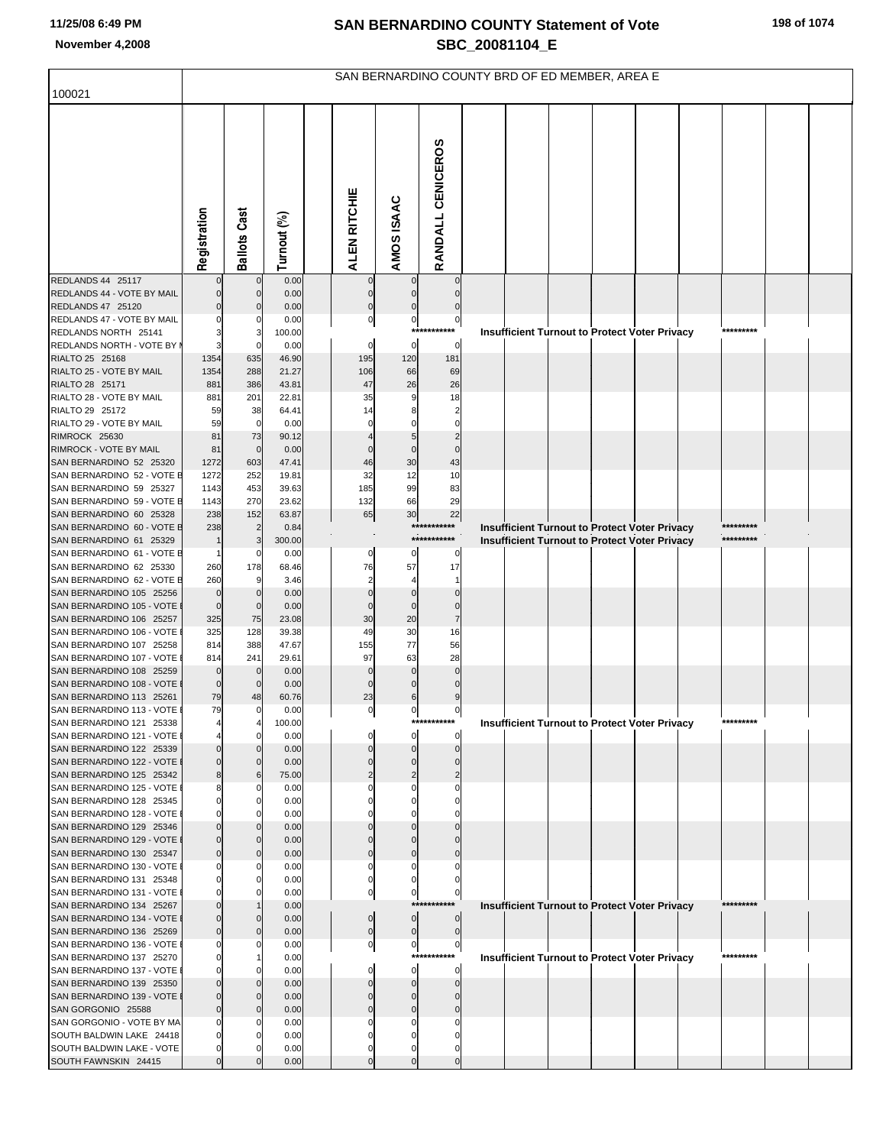|                                                         |                         |                       |                |                         |                       |                            | SAN BERNARDINO COUNTY BRD OF ED MEMBER, AREA E                                                                     |
|---------------------------------------------------------|-------------------------|-----------------------|----------------|-------------------------|-----------------------|----------------------------|--------------------------------------------------------------------------------------------------------------------|
| 100021                                                  |                         |                       |                |                         |                       |                            |                                                                                                                    |
|                                                         | Registration            | <b>Ballots Cast</b>   | Turnout (%)    | ALEN RITCHIE            | AMOS ISAAC            | RANDALL CENICEROS          |                                                                                                                    |
| REDLANDS 44 25117                                       |                         | $\mathbf 0$           | 0.00           |                         |                       |                            |                                                                                                                    |
| REDLANDS 44 - VOTE BY MAIL                              | $\mathbf 0$<br>$\Omega$ | $\mathbf 0$           | 0.00           | $\Omega$<br>$\mathbf 0$ |                       |                            |                                                                                                                    |
| REDLANDS 47 25120<br>REDLANDS 47 - VOTE BY MAIL         |                         |                       | 0.00<br>0.00   | $\pmb{0}$               |                       | $\mathbf 0$                |                                                                                                                    |
| REDLANDS NORTH 25141                                    | 3                       |                       | 100.00         |                         | $\mathbf{0}$<br>$***$ | ****                       | *********<br><b>Insufficient Turnout to Protect Voter Privacy</b>                                                  |
| REDLANDS NORTH - VOTE BY I                              | 3                       |                       | 0.00           | $\mathbf 0$             | $\mathbf 0$           | $\mathbf 0$                |                                                                                                                    |
| RIALTO 25 25168                                         | 1354                    | 635                   | 46.90          | 195                     | 120                   | 181                        |                                                                                                                    |
| RIALTO 25 - VOTE BY MAIL                                | 1354                    | 288                   | 21.27          | 106                     | 66                    | 69                         |                                                                                                                    |
| RIALTO 28 25171                                         | 881                     | 386                   | 43.81          | 47                      | 26                    | 26                         |                                                                                                                    |
| RIALTO 28 - VOTE BY MAIL                                | 881                     | 201                   | 22.81          | 35                      | 9                     | 18                         |                                                                                                                    |
| RIALTO 29 25172<br>RIALTO 29 - VOTE BY MAIL             | 59<br>59                | 38<br>$\mathbf 0$     | 64.41          | 14<br>$\Omega$          |                       | $\overline{2}$<br>$\Omega$ |                                                                                                                    |
| RIMROCK 25630                                           | 81                      | 73                    | 0.00<br>90.12  |                         |                       |                            |                                                                                                                    |
| RIMROCK - VOTE BY MAIL                                  | 81                      | $\mathbf 0$           | 0.00           |                         | $\Omega$              | $\Omega$                   |                                                                                                                    |
| SAN BERNARDINO 52 25320                                 | 1272                    | 603                   | 47.41          | 46                      | 30                    | 43                         |                                                                                                                    |
| SAN BERNARDINO 52 - VOTE E                              | 1272                    | 252                   | 19.81          | 32                      | 12                    | 10                         |                                                                                                                    |
| SAN BERNARDINO 59 25327                                 | 1143                    | 453                   | 39.63          | 185                     | 99                    | 83                         |                                                                                                                    |
| SAN BERNARDINO 59 - VOTE E                              | 1143                    | 270                   | 23.62          | 132                     | 66                    | 29                         |                                                                                                                    |
| SAN BERNARDINO 60 25328<br>SAN BERNARDINO 60 - VOTE E   | 238<br>238              | 152<br>$\overline{2}$ | 63.87          | 65                      | 30                    | 22<br>***********          | *********                                                                                                          |
| SAN BERNARDINO 61 25329                                 | $\mathbf 1$             |                       | 0.84<br>300.00 |                         |                       | ***********                | Insufficient Turnout to Protect Voter Privacy<br>*********<br><b>Insufficient Turnout to Protect Voter Privacy</b> |
| SAN BERNARDINO 61 - VOTE E                              | $\mathbf{1}$            | 0                     | 0.00           | 0                       | 0                     | 0                          |                                                                                                                    |
| SAN BERNARDINO 62 25330                                 | 260                     | 178                   | 68.46          | 76                      | 57                    | 17                         |                                                                                                                    |
| SAN BERNARDINO 62 - VOTE E                              | 260                     |                       | 3.46           | $\overline{2}$          | 4                     | 1                          |                                                                                                                    |
| SAN BERNARDINO 105 25256                                | $\mathbf 0$             |                       | 0.00           |                         |                       |                            |                                                                                                                    |
| SAN BERNARDINO 105 - VOTE<br>SAN BERNARDINO 106 25257   | $\mathbf 0$<br>325      | $\mathbf 0$<br>75     | 0.00           | $\Omega$<br>30          | $\Omega$<br>20        | $\Omega$<br>$\overline{7}$ |                                                                                                                    |
| SAN BERNARDINO 106 - VOTE                               | 325                     | 128                   | 23.08<br>39.38 | 49                      | 30                    | 16                         |                                                                                                                    |
| SAN BERNARDINO 107 25258                                | 814                     | 388                   | 47.67          | 155                     | 77                    | 56                         |                                                                                                                    |
| SAN BERNARDINO 107 - VOTE                               | 814                     | 241                   | 29.61          | 97                      | 63                    | 28                         |                                                                                                                    |
| SAN BERNARDINO 108 25259                                | $\mathbf 0$             | $\mathbf 0$           | 0.00           |                         | $\Omega$              | $\Omega$                   |                                                                                                                    |
| SAN BERNARDINO 108 - VOTE                               | $\mathbf 0$             |                       | 0.00           |                         | 0                     | $\Omega$                   |                                                                                                                    |
| SAN BERNARDINO 113 25261                                | 79<br>79                | 48                    | 60.76          | 23                      | 6                     | 9                          |                                                                                                                    |
| SAN BERNARDINO 113 - VOTE I<br>SAN BERNARDINO 121 25338 |                         | $\overline{0}$        | 0.00<br>100.00 | $\mathbf 0$             | $\mathbf 0$           | 0<br>***********           | *********<br><b>Insufficient Turnout to Protect Voter Privacy</b>                                                  |
| SAN BERNARDINO 121 - VOTE                               |                         | 0                     | 0.00           |                         | 0                     | 0                          |                                                                                                                    |
| SAN BERNARDINO 122 25339                                | $\mathbf 0$             |                       | 0.00           |                         |                       | $\Omega$                   |                                                                                                                    |
| SAN BERNARDINO 122 - VOTE I                             | $\overline{0}$          | $\mathbf{0}$          | 0.00           | $\Omega$                | $\Omega$              | $\Omega$                   |                                                                                                                    |
| SAN BERNARDINO 125 25342                                | 8                       |                       | 75.00          | $\overline{2}$          | $\overline{2}$        | 2                          |                                                                                                                    |
| SAN BERNARDINO 125 - VOTE I                             | 8<br>$\mathbf 0$        | 0                     | 0.00<br>0.00   |                         | $\Omega$              |                            |                                                                                                                    |
| SAN BERNARDINO 128 25345<br>SAN BERNARDINO 128 - VOTE I | $\mathbf 0$             |                       | 0.00           |                         |                       |                            |                                                                                                                    |
| SAN BERNARDINO 129 25346                                | $\mathbf 0$             |                       | 0.00           |                         |                       |                            |                                                                                                                    |
| SAN BERNARDINO 129 - VOTE I                             | $\overline{0}$          | $\mathbf 0$           | 0.00           | $\Omega$                |                       |                            |                                                                                                                    |
| SAN BERNARDINO 130 25347                                | $\mathbf 0$             |                       | 0.00           | $\Omega$                | $\Omega$              |                            |                                                                                                                    |
| SAN BERNARDINO 130 - VOTE                               | $\mathbf 0$             | O                     | 0.00           | 0                       | 0                     |                            |                                                                                                                    |
| SAN BERNARDINO 131 25348<br>SAN BERNARDINO 131 - VOTE I | $\Omega$<br>$\mathbf 0$ |                       | 0.00<br>0.00   | $\mathbf 0$             | $\pmb{0}$             | 0                          |                                                                                                                    |
| SAN BERNARDINO 134 25267                                | $\Omega$                |                       | 0.00           |                         | $***$                 |                            | Insufficient Turnout to Protect Voter Privacy<br>********                                                          |
| SAN BERNARDINO 134 - VOTE I                             | $\mathbf 0$             | $\mathbf{0}$          | 0.00           | 0                       | $\mathbf 0$           | $\mathbf 0$                |                                                                                                                    |
| SAN BERNARDINO 136 25269                                | $\mathbf 0$             |                       | 0.00           | $\mathbf 0$             | $\mathbf 0$           | $\mathbf 0$                |                                                                                                                    |
| SAN BERNARDINO 136 - VOTE I                             | $\mathbf 0$             |                       | 0.00           | $\pmb{0}$               | $\mathbf{0}$          | $\pmb{0}$                  |                                                                                                                    |
| SAN BERNARDINO 137 25270                                | $\Omega$                |                       | 0.00           |                         | ****                  |                            | *********<br>Insufficient Turnout to Protect Voter Privacy                                                         |
| SAN BERNARDINO 137 - VOTE I<br>SAN BERNARDINO 139 25350 | $\mathbf 0$<br>$\Omega$ |                       | 0.00<br>0.00   |                         | $\mathbf 0$           | $\mathbf 0$<br>$\Omega$    |                                                                                                                    |
| SAN BERNARDINO 139 - VOTE I                             | $\overline{0}$          | $\mathbf 0$           | 0.00           |                         | $\Omega$              |                            |                                                                                                                    |
| SAN GORGONIO 25588                                      | $\mathbf 0$             |                       | 0.00           |                         | $\Omega$              |                            |                                                                                                                    |
| SAN GORGONIO - VOTE BY MA                               | $\mathbf 0$             |                       | 0.00           |                         |                       |                            |                                                                                                                    |
| SOUTH BALDWIN LAKE 24418                                | $\Omega$                |                       | 0.00           |                         |                       |                            |                                                                                                                    |
| SOUTH BALDWIN LAKE - VOTE                               | $\Omega$                |                       | 0.00           |                         | 0                     |                            |                                                                                                                    |
| SOUTH FAWNSKIN 24415                                    | $\mathbf 0$             |                       | 0.00           | $\Omega$                | $\Omega$              | $\Omega$                   |                                                                                                                    |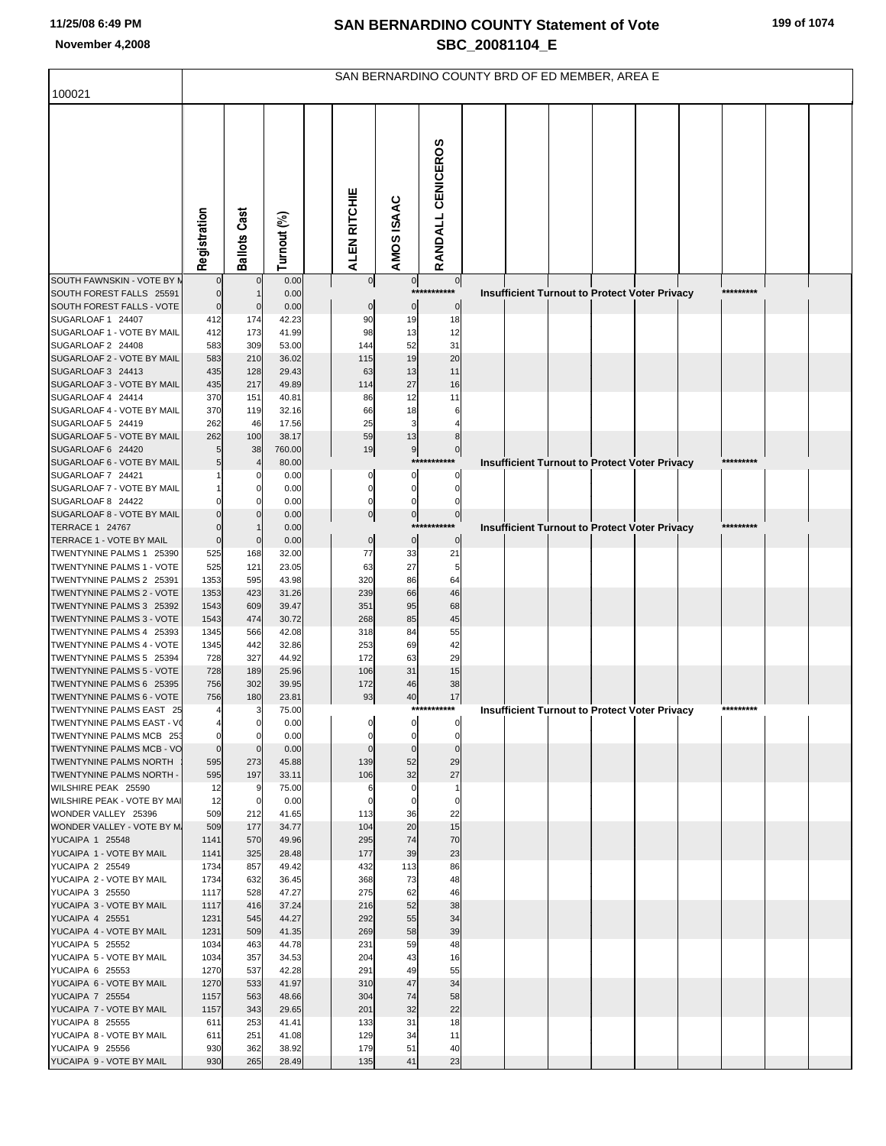|                                                       |                      |                     |                |                |                       | SAN BERNARDINO COUNTY BRD OF ED MEMBER, AREA E |  |                                                      |  |           |  |
|-------------------------------------------------------|----------------------|---------------------|----------------|----------------|-----------------------|------------------------------------------------|--|------------------------------------------------------|--|-----------|--|
| 100021                                                |                      |                     |                |                |                       |                                                |  |                                                      |  |           |  |
|                                                       | Registration         | <b>Ballots Cast</b> | Turnout (%)    | ALEN RITCHIE   | AMOS ISAAC            | RANDALL CENICEROS                              |  |                                                      |  |           |  |
| SOUTH FAWNSKIN - VOTE BY N                            | $\mathbf{0}$         | $\mathbf 0$         | 0.00           | $\overline{0}$ | 0                     | 0                                              |  |                                                      |  |           |  |
| SOUTH FOREST FALLS 25591                              | $\mathbf 0$          |                     | 0.00           |                | ***                   |                                                |  | Insufficient Turnout to Protect Voter Privacy        |  | ********* |  |
| SOUTH FOREST FALLS - VOTE<br>SUGARLOAF 1 24407        | $\bf{0}$<br>412      | $\mathbf 0$<br>174  | 0.00<br>42.23  | $\bf{0}$<br>90 | $\overline{0}$<br>19  | $\pmb{0}$<br>18                                |  |                                                      |  |           |  |
| SUGARLOAF 1 - VOTE BY MAIL                            | 412                  | 173                 | 41.99          | 98             | 13                    | 12                                             |  |                                                      |  |           |  |
| SUGARLOAF 2 24408                                     | 583                  | 309                 | 53.00          | 144            | 52                    | 31                                             |  |                                                      |  |           |  |
| SUGARLOAF 2 - VOTE BY MAIL                            | 583                  | 210                 | 36.02          | 115            | 19                    | 20                                             |  |                                                      |  |           |  |
| SUGARLOAF 3 24413                                     | 435                  | 128                 | 29.43          | 63             | 13                    | 11                                             |  |                                                      |  |           |  |
| SUGARLOAF 3 - VOTE BY MAIL                            | 435                  | 217                 | 49.89          | 114            | 27                    | 16                                             |  |                                                      |  |           |  |
| SUGARLOAF 4 24414                                     | 370                  | 151                 | 40.81          | 86             | 12                    | 11                                             |  |                                                      |  |           |  |
| SUGARLOAF 4 - VOTE BY MAIL<br>SUGARLOAF 5 24419       | 370<br>262           | 119<br>46           | 32.16<br>17.56 | 66<br>25       | 18<br>3               | 6                                              |  |                                                      |  |           |  |
| SUGARLOAF 5 - VOTE BY MAIL                            | 262                  | 100                 | 38.17          | 59             | 13                    | 8                                              |  |                                                      |  |           |  |
| SUGARLOAF 6 24420                                     | 5                    | 38                  | 760.00         | 19             | 9                     | $\overline{0}$                                 |  |                                                      |  |           |  |
| SUGARLOAF 6 - VOTE BY MAIL                            | 5                    |                     | 80.00          |                | ***                   |                                                |  | <b>Insufficient Turnout to Protect Voter Privacy</b> |  | ********* |  |
| SUGARLOAF 7 24421                                     |                      |                     | 0.00           | 0              | 0                     | 0                                              |  |                                                      |  |           |  |
| SUGARLOAF 7 - VOTE BY MAIL                            |                      |                     | 0.00           | 0              | 0                     | 0                                              |  |                                                      |  |           |  |
| SUGARLOAF 8 24422                                     | $\Omega$<br>$\Omega$ |                     | 0.00           | 0              | 0                     | 0                                              |  |                                                      |  |           |  |
| SUGARLOAF 8 - VOTE BY MAIL<br>TERRACE 1 24767         | $\mathbf 0$          |                     | 0.00<br>0.00   | $\pmb{0}$      | $\overline{0}$<br>*** | $\overline{0}$                                 |  | Insufficient Turnout to Protect Voter Privacy        |  | ********* |  |
| TERRACE 1 - VOTE BY MAIL                              | $\mathbf 0$          | $\Omega$            | 0.00           | $\pmb{0}$      | $\overline{0}$        | $\pmb{0}$                                      |  |                                                      |  |           |  |
| TWENTYNINE PALMS 1 25390                              | 525                  | 168                 | 32.00          | 77             | 33                    | 21                                             |  |                                                      |  |           |  |
| TWENTYNINE PALMS 1 - VOTE                             | 525                  | 121                 | 23.05          | 63             | 27                    | 5                                              |  |                                                      |  |           |  |
| TWENTYNINE PALMS 2 25391                              | 1353                 | 595                 | 43.98          | 320            | 86                    | 64                                             |  |                                                      |  |           |  |
| TWENTYNINE PALMS 2 - VOTE<br>TWENTYNINE PALMS 3 25392 | 1353<br>1543         | 423<br>609          | 31.26<br>39.47 | 239<br>351     | 66<br>95              | 46<br>68                                       |  |                                                      |  |           |  |
| TWENTYNINE PALMS 3 - VOTE                             | 1543                 | 474                 | 30.72          | 268            | 85                    | 45                                             |  |                                                      |  |           |  |
| TWENTYNINE PALMS 4 25393                              | 1345                 | 566                 | 42.08          | 318            | 84                    | 55                                             |  |                                                      |  |           |  |
| TWENTYNINE PALMS 4 - VOTE                             | 1345                 | 442                 | 32.86          | 253            | 69                    | 42                                             |  |                                                      |  |           |  |
| TWENTYNINE PALMS 5 25394                              | 728                  | 327                 | 44.92          | 172            | 63                    | 29                                             |  |                                                      |  |           |  |
| TWENTYNINE PALMS 5 - VOTE                             | 728                  | 189                 | 25.96          | 106            | 31                    | 15                                             |  |                                                      |  |           |  |
| TWENTYNINE PALMS 6 25395<br>TWENTYNINE PALMS 6 - VOTE | 756<br>756           | 302<br>180          | 39.95<br>23.81 | 172<br>93      | 46<br>40              | 38<br>17                                       |  |                                                      |  |           |  |
| TWENTYNINE PALMS EAST 25                              | $\overline{4}$       | 3                   | 75.00          |                |                       | ***********                                    |  | <b>Insufficient Turnout to Protect Voter Privacy</b> |  | ********* |  |
| TWENTYNINE PALMS EAST - VO                            | 4                    | $\overline{0}$      | 0.00           | 0              | 0                     | $\Omega$                                       |  |                                                      |  |           |  |
| TWENTYNINE PALMS MCB 253                              | $\mathbf 0$          | $\mathbf 0$         | 0.00           | 0              | 0                     | $\mathbf 0$                                    |  |                                                      |  |           |  |
| TWENTYNINE PALMS MCB - VO                             | $\overline{0}$       | $\mathbf 0$         | 0.00           | $\Omega$       | $\mathbf 0$           | $\mathbf 0$                                    |  |                                                      |  |           |  |
| TWENTYNINE PALMS NORTH<br>TWENTYNINE PALMS NORTH -    | 595<br>595           | 273<br>197          | 45.88<br>33.11 | 139<br>106     | 52<br>32              | 29<br>27                                       |  |                                                      |  |           |  |
| WILSHIRE PEAK 25590                                   | 12                   | 9                   | 75.00          | 6              | 0                     | -1                                             |  |                                                      |  |           |  |
| WILSHIRE PEAK - VOTE BY MAI                           | 12                   | 0                   | 0.00           | 0              | 0                     | $\mathbf 0$                                    |  |                                                      |  |           |  |
| WONDER VALLEY 25396                                   | 509                  | 212                 | 41.65          | 113            | 36                    | 22                                             |  |                                                      |  |           |  |
| WONDER VALLEY - VOTE BY M.                            | 509                  | 177                 | 34.77          | 104            | 20                    | 15                                             |  |                                                      |  |           |  |
| <b>YUCAIPA 1 25548</b><br>YUCAIPA 1 - VOTE BY MAIL    | 1141<br>1141         | 570<br>325          | 49.96<br>28.48 | 295<br>177     | 74<br>39              | 70<br>23                                       |  |                                                      |  |           |  |
| <b>YUCAIPA 2 25549</b>                                | 1734                 | 857                 | 49.42          | 432            | 113                   | 86                                             |  |                                                      |  |           |  |
| YUCAIPA 2 - VOTE BY MAIL                              | 1734                 | 632                 | 36.45          | 368            | 73                    | 48                                             |  |                                                      |  |           |  |
| YUCAIPA 3 25550                                       | 1117                 | 528                 | 47.27          | 275            | 62                    | 46                                             |  |                                                      |  |           |  |
| YUCAIPA 3 - VOTE BY MAIL                              | 1117                 | 416                 | 37.24          | 216            | 52                    | 38                                             |  |                                                      |  |           |  |
| <b>YUCAIPA 4 25551</b>                                | 1231                 | 545                 | 44.27          | 292            | 55                    | 34                                             |  |                                                      |  |           |  |
| YUCAIPA 4 - VOTE BY MAIL<br><b>YUCAIPA 5 25552</b>    | 1231<br>1034         | 509<br>463          | 41.35<br>44.78 | 269<br>231     | 58<br>59              | 39<br>48                                       |  |                                                      |  |           |  |
| YUCAIPA 5 - VOTE BY MAIL                              | 1034                 | 357                 | 34.53          | 204            | 43                    | 16                                             |  |                                                      |  |           |  |
| YUCAIPA 6 25553                                       | 1270                 | 537                 | 42.28          | 291            | 49                    | 55                                             |  |                                                      |  |           |  |
| YUCAIPA 6 - VOTE BY MAIL                              | 1270                 | 533                 | 41.97          | 310            | 47                    | 34                                             |  |                                                      |  |           |  |
| <b>YUCAIPA 7 25554</b>                                | 1157                 | 563                 | 48.66          | 304            | 74                    | 58                                             |  |                                                      |  |           |  |
| YUCAIPA 7 - VOTE BY MAIL<br><b>YUCAIPA 8 25555</b>    | 1157<br>611          | 343<br>253          | 29.65<br>41.41 | 201<br>133     | 32<br>31              | 22<br>18                                       |  |                                                      |  |           |  |
| YUCAIPA 8 - VOTE BY MAIL                              | 611                  | 251                 | 41.08          | 129            | 34                    | 11                                             |  |                                                      |  |           |  |
| YUCAIPA 9 25556                                       | 930                  | 362                 | 38.92          | 179            | 51                    | 40                                             |  |                                                      |  |           |  |
| YUCAIPA 9 - VOTE BY MAIL                              | 930                  | 265                 | 28.49          | 135            | 41                    | 23                                             |  |                                                      |  |           |  |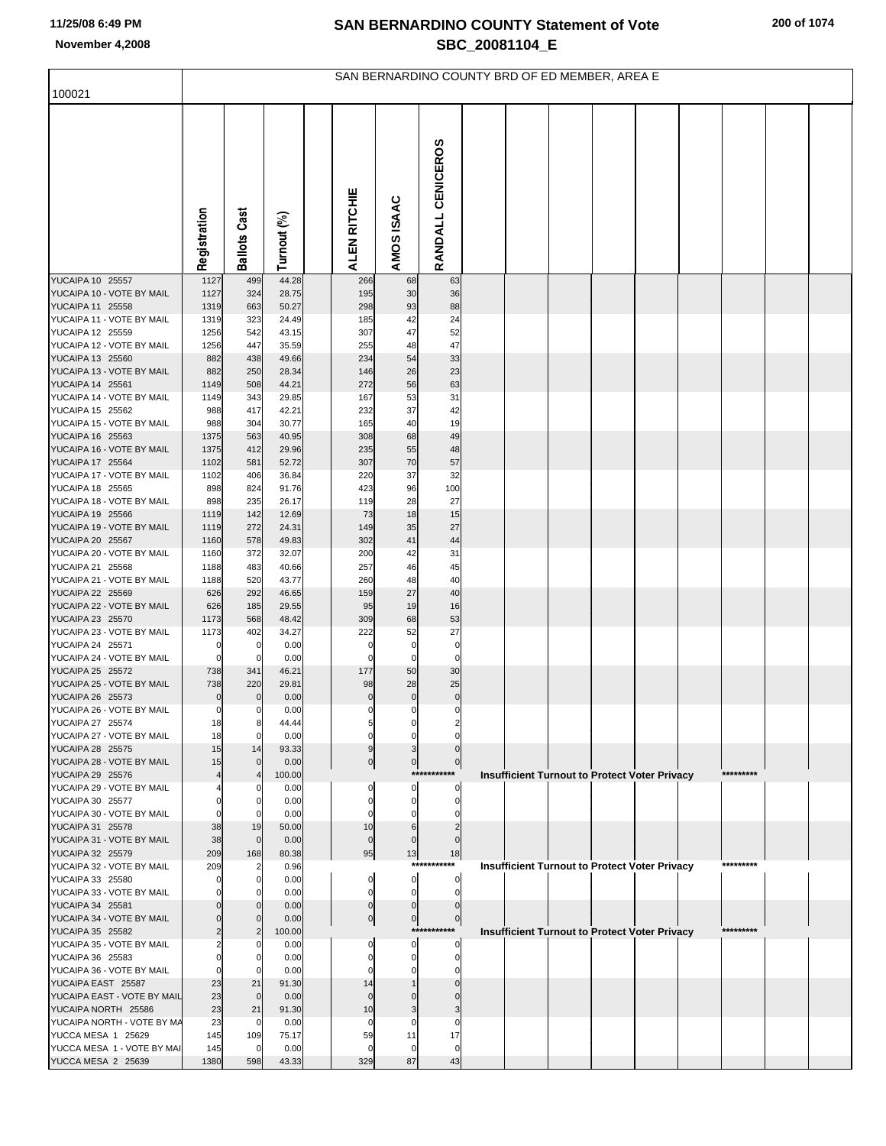|                                                   |              |                     |                | SAN BERNARDINO COUNTY BRD OF ED MEMBER, AREA E |                     |                     |                                                      |  |  |           |  |
|---------------------------------------------------|--------------|---------------------|----------------|------------------------------------------------|---------------------|---------------------|------------------------------------------------------|--|--|-----------|--|
| 100021                                            |              |                     |                |                                                |                     |                     |                                                      |  |  |           |  |
|                                                   | Registration | Cast<br>Ballots     | Turnout (%)    | ALEN RITCHIE                                   | AMOS ISAAC          | RANDALL CENICEROS   |                                                      |  |  |           |  |
| YUCAIPA 10 25557                                  | 1127         | 499                 | 44.28          | 266                                            | 68                  | 63                  |                                                      |  |  |           |  |
| YUCAIPA 10 - VOTE BY MAIL<br>YUCAIPA 11 25558     | 1127<br>1319 | 324<br>663          | 28.75<br>50.27 | 195<br>298                                     | 30<br>93            | 36<br>88            |                                                      |  |  |           |  |
| YUCAIPA 11 - VOTE BY MAIL                         | 1319         | 323                 | 24.49          | 185                                            | 42                  | 24                  |                                                      |  |  |           |  |
| YUCAIPA 12 25559                                  | 1256         | 542                 | 43.15          | 307                                            | 47                  | 52                  |                                                      |  |  |           |  |
| YUCAIPA 12 - VOTE BY MAIL                         | 1256         | 447                 | 35.59          | 255                                            | 48                  | 47                  |                                                      |  |  |           |  |
| YUCAIPA 13 25560<br>YUCAIPA 13 - VOTE BY MAIL     | 882<br>882   | 438<br>250          | 49.66<br>28.34 | 234<br>146                                     | 54<br>26            | 33<br>23            |                                                      |  |  |           |  |
| YUCAIPA 14 25561                                  | 1149         | 508                 | 44.21          | 272                                            | 56                  | 63                  |                                                      |  |  |           |  |
| YUCAIPA 14 - VOTE BY MAIL                         | 1149         | 343                 | 29.85          | 167                                            | 53                  | 31                  |                                                      |  |  |           |  |
| YUCAIPA 15 25562                                  | 988          | 417                 | 42.21          | 232                                            | 37                  | 42                  |                                                      |  |  |           |  |
| YUCAIPA 15 - VOTE BY MAIL                         | 988          | 304                 | 30.77          | 165                                            | 40                  | 19                  |                                                      |  |  |           |  |
| YUCAIPA 16 25563<br>YUCAIPA 16 - VOTE BY MAIL     | 1375<br>1375 | 563<br>412          | 40.95<br>29.96 | 308<br>235                                     | 68<br>55            | 49<br>48            |                                                      |  |  |           |  |
| YUCAIPA 17 25564                                  | 1102         | 581                 | 52.72          | 307                                            | 70                  | 57                  |                                                      |  |  |           |  |
| YUCAIPA 17 - VOTE BY MAIL                         | 1102         | 406                 | 36.84          | 220                                            | 37                  | 32                  |                                                      |  |  |           |  |
| YUCAIPA 18 25565                                  | 898          | 824                 | 91.76          | 423                                            | 96                  | 100                 |                                                      |  |  |           |  |
| YUCAIPA 18 - VOTE BY MAIL                         | 898          | 235                 | 26.17          | 119                                            | 28                  | 27                  |                                                      |  |  |           |  |
| YUCAIPA 19 25566<br>YUCAIPA 19 - VOTE BY MAIL     | 1119<br>1119 | 142<br>272          | 12.69<br>24.31 | 73<br>149                                      | 18<br>35            | 15<br>27            |                                                      |  |  |           |  |
| YUCAIPA 20 25567                                  | 1160         | 578                 | 49.83          | 302                                            | 41                  | 44                  |                                                      |  |  |           |  |
| YUCAIPA 20 - VOTE BY MAIL                         | 1160         | 372                 | 32.07          | 200                                            | 42                  | 31                  |                                                      |  |  |           |  |
| YUCAIPA 21 25568                                  | 1188         | 483                 | 40.66          | 257                                            | 46                  | 45                  |                                                      |  |  |           |  |
| YUCAIPA 21 - VOTE BY MAIL<br>YUCAIPA 22 25569     | 1188<br>626  | 520<br>292          | 43.77<br>46.65 | 260<br>159                                     | 48<br>27            | 40<br>40            |                                                      |  |  |           |  |
| YUCAIPA 22 - VOTE BY MAIL                         | 626          | 185                 | 29.55          | 95                                             | 19                  | 16                  |                                                      |  |  |           |  |
| YUCAIPA 23 25570                                  | 1173         | 568                 | 48.42          | 309                                            | 68                  | 53                  |                                                      |  |  |           |  |
| YUCAIPA 23 - VOTE BY MAIL                         | 1173         | 402                 | 34.27          | 222                                            | 52                  | 27                  |                                                      |  |  |           |  |
| YUCAIPA 24 25571<br>YUCAIPA 24 - VOTE BY MAIL     | C<br>C       | 0<br>$\Omega$       | 0.00<br>0.00   | 0<br>0                                         | 0<br>0              | 0<br>0              |                                                      |  |  |           |  |
| YUCAIPA 25 25572                                  | 738          | 341                 | 46.21          | 177                                            | 50                  | 30                  |                                                      |  |  |           |  |
| YUCAIPA 25 - VOTE BY MAIL                         | 738          | 220                 | 29.81          | 98                                             | 28                  | 25                  |                                                      |  |  |           |  |
| YUCAIPA 26 25573                                  |              | $\mathbf 0$         | 0.00           | 0                                              | 0                   | $\bf{0}$            |                                                      |  |  |           |  |
| YUCAIPA 26 - VOTE BY MAIL                         | 0            | 0                   | 0.00           | $\overline{0}$                                 | $\overline{0}$      | $\overline{0}$      |                                                      |  |  |           |  |
| YUCAIPA 27 25574<br>YUCAIPA 27 - VOTE BY MAIL     | 18<br>18     | 8<br>$\overline{0}$ | 44.44<br>0.00  | 5<br>0                                         | 0<br>0              | $\Omega$            |                                                      |  |  |           |  |
| YUCAIPA 28 25575                                  | 15           | 14                  | 93.33          | 9                                              | 3                   | $\Omega$            |                                                      |  |  |           |  |
| YUCAIPA 28 - VOTE BY MAIL                         | 15           | $\Omega$            | 0.00           | $\overline{0}$                                 | $\overline{0}$      | $\overline{0}$      |                                                      |  |  |           |  |
| YUCAIPA 29 25576                                  |              | $\overline{4}$      | 100.00         |                                                |                     | ***********         | <b>Insufficient Turnout to Protect Voter Privacy</b> |  |  | ********* |  |
| YUCAIPA 29 - VOTE BY MAIL<br>YUCAIPA 30 25577     |              | $\mathbf 0$         | 0.00<br>0.00   | 0<br>0                                         | $\overline{0}$<br>0 | 0<br>$\overline{0}$ |                                                      |  |  |           |  |
| YUCAIPA 30 - VOTE BY MAIL                         |              |                     | 0.00           |                                                | 0                   | 0                   |                                                      |  |  |           |  |
| YUCAIPA 31 25578                                  | 38           | 19                  | 50.00          | 10                                             | 6                   | $\overline{2}$      |                                                      |  |  |           |  |
| YUCAIPA 31 - VOTE BY MAIL                         | 38           | $\mathbf 0$         | 0.00           | $\mathbf 0$                                    | $\mathbf 0$         |                     |                                                      |  |  |           |  |
| YUCAIPA 32 25579                                  | 209          | 168<br>2            | 80.38          | 95                                             | 13<br>****          | 18<br>*******       |                                                      |  |  | ********* |  |
| YUCAIPA 32 - VOTE BY MAIL<br>YUCAIPA 33 25580     | 209          | $\mathbf 0$         | 0.96<br>0.00   | 0                                              | $\overline{0}$      | 0                   | <b>Insufficient Turnout to Protect Voter Privacy</b> |  |  |           |  |
| YUCAIPA 33 - VOTE BY MAIL                         |              |                     | 0.00           | 0                                              | $\mathbf{0}$        | $\mathbf{0}$        |                                                      |  |  |           |  |
| YUCAIPA 34 25581                                  |              | $\Omega$            | 0.00           | $\mathbf 0$                                    | $\Omega$            | $\mathbf 0$         |                                                      |  |  |           |  |
| YUCAIPA 34 - VOTE BY MAIL                         |              | $\Omega$            | 0.00           | 이                                              | $\overline{0}$      | $\overline{0}$      |                                                      |  |  | ********* |  |
| YUCAIPA 35 25582<br>YUCAIPA 35 - VOTE BY MAIL     |              | $\overline{2}$<br>O | 100.00<br>0.00 | 0                                              | 0                   | ***********<br>0    | <b>Insufficient Turnout to Protect Voter Privacy</b> |  |  |           |  |
| YUCAIPA 36 25583                                  |              | $\mathbf 0$         | 0.00           | 0                                              | 0                   | $\mathbf{0}$        |                                                      |  |  |           |  |
| YUCAIPA 36 - VOTE BY MAIL                         |              |                     | 0.00           |                                                |                     | 0                   |                                                      |  |  |           |  |
| YUCAIPA EAST 25587                                | 23           | 21                  | 91.30          | 14                                             |                     |                     |                                                      |  |  |           |  |
| YUCAIPA EAST - VOTE BY MAIL                       | 23           | $\mathbf 0$         | 0.00           | $\Omega$                                       |                     |                     |                                                      |  |  |           |  |
| YUCAIPA NORTH 25586<br>YUCAIPA NORTH - VOTE BY MA | 23<br>23     | 21<br>$\mathbf 0$   | 91.30<br>0.00  | 10<br>0                                        | 3<br>0              | 0                   |                                                      |  |  |           |  |
| YUCCA MESA 1 25629                                | 145          | 109                 | 75.17          | 59                                             | 11                  | 17                  |                                                      |  |  |           |  |
| YUCCA MESA 1 - VOTE BY MAI                        | 145          | $\mathbf 0$         | 0.00           | 0                                              | 0                   | 0                   |                                                      |  |  |           |  |
| YUCCA MESA 2 25639                                | 1380         | 598                 | 43.33          | 329                                            | 87                  | 43                  |                                                      |  |  |           |  |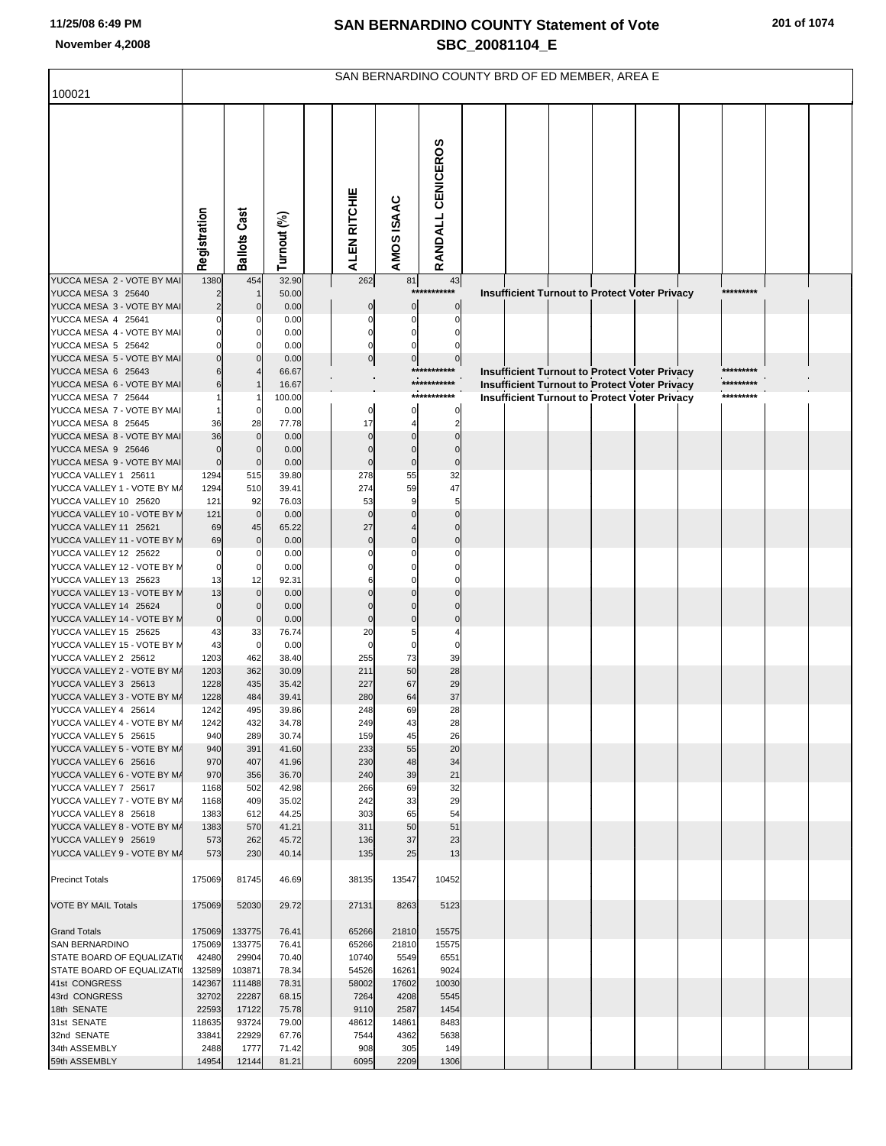|                                                         |                            |                             |                |                      |                         |                                | SAN BERNARDINO COUNTY BRD OF ED MEMBER, AREA E |  |                                                                                                       |           |  |
|---------------------------------------------------------|----------------------------|-----------------------------|----------------|----------------------|-------------------------|--------------------------------|------------------------------------------------|--|-------------------------------------------------------------------------------------------------------|-----------|--|
| 100021                                                  |                            |                             |                |                      |                         |                                |                                                |  |                                                                                                       |           |  |
|                                                         | Registration               | <b>Ballots Cast</b>         | Turnout (%)    | ALEN RITCHIE         | AMOS ISAAC              | RANDALL CENICEROS              |                                                |  |                                                                                                       |           |  |
| YUCCA MESA 2 - VOTE BY MAI                              | 1380                       | 454                         | 32.90          | 262                  | 81                      | 43                             |                                                |  |                                                                                                       |           |  |
| YUCCA MESA 3 25640<br>YUCCA MESA 3 - VOTE BY MAI        | $\overline{2}$             | $\mathbf 0$                 | 50.00<br>0.00  | $\mathbf 0$          | $\bf{0}$                | ****<br>*******<br>$\mathbf 0$ |                                                |  | Insufficient Turnout to Protect Voter Privacy                                                         | ********* |  |
| YUCCA MESA 4 25641                                      | $\Omega$                   | 0                           | 0.00           | 0                    | 0                       | 0                              |                                                |  |                                                                                                       |           |  |
| YUCCA MESA 4 - VOTE BY MAI                              | $\Omega$                   | $\Omega$                    | 0.00           | 0                    | 0                       |                                |                                                |  |                                                                                                       |           |  |
| YUCCA MESA 5 25642                                      | $\mathbf 0$                | $\Omega$                    | 0.00           | $\mathbf 0$          |                         |                                |                                                |  |                                                                                                       |           |  |
| YUCCA MESA 5 - VOTE BY MAI<br>YUCCA MESA 6 25643        |                            | $\Omega$                    | 0.00           | $\overline{0}$       | $\mathbf 0$             | $\mathbf 0$<br>***********     |                                                |  |                                                                                                       | ********* |  |
| YUCCA MESA 6 - VOTE BY MAI                              | 6                          |                             | 66.67<br>16.67 |                      |                         | ***********                    |                                                |  | <b>Insufficient Turnout to Protect Voter Privacy</b><br>Insufficient Turnout to Protect Voter Privacy | ********* |  |
| YUCCA MESA 7 25644                                      |                            |                             | 100.00         |                      |                         | ***********                    |                                                |  | <b>Insufficient Turnout to Protect Voter Privacy</b>                                                  | ********* |  |
| YUCCA MESA 7 - VOTE BY MAI                              |                            | 0                           | 0.00           | 0                    | 0                       | 0                              |                                                |  |                                                                                                       |           |  |
| YUCCA MESA 8 25645                                      | 36                         | 28                          | 77.78          | 17                   | 4                       | $\overline{2}$                 |                                                |  |                                                                                                       |           |  |
| YUCCA MESA 8 - VOTE BY MAI                              | 36                         | $\mathbf 0$                 | 0.00           | $\Omega$             |                         |                                |                                                |  |                                                                                                       |           |  |
| YUCCA MESA 9 25646<br>YUCCA MESA 9 - VOTE BY MAI        | $\mathbf 0$<br>$\mathbf 0$ | $\mathbf 0$<br>$\mathbf{0}$ | 0.00<br>0.00   | $\Omega$<br>$\Omega$ | $\Omega$<br>$\mathbf 0$ | $\Omega$<br>$\Omega$           |                                                |  |                                                                                                       |           |  |
| YUCCA VALLEY 1 25611                                    | 1294                       | 515                         | 39.80          | 278                  | 55                      | 32                             |                                                |  |                                                                                                       |           |  |
| YUCCA VALLEY 1 - VOTE BY M/                             | 1294                       | 510                         | 39.41          | 274                  | 59                      | 47                             |                                                |  |                                                                                                       |           |  |
| YUCCA VALLEY 10 25620                                   | 121                        | 92                          | 76.03          | 53                   | 9                       | 5                              |                                                |  |                                                                                                       |           |  |
| YUCCA VALLEY 10 - VOTE BY M                             | 121                        | $\overline{0}$              | 0.00           | $\Omega$             |                         | $\Omega$                       |                                                |  |                                                                                                       |           |  |
| YUCCA VALLEY 11 25621<br>YUCCA VALLEY 11 - VOTE BY M    | 69<br>69                   | 45<br>$\mathbf 0$           | 65.22<br>0.00  | 27<br>$\mathbf 0$    |                         | $\Omega$<br>$\Omega$           |                                                |  |                                                                                                       |           |  |
| YUCCA VALLEY 12 25622                                   | $\mathbf 0$                | 0                           | 0.00           | $\Omega$             |                         |                                |                                                |  |                                                                                                       |           |  |
| YUCCA VALLEY 12 - VOTE BY M                             | $\mathbf 0$                | $\mathbf 0$                 | 0.00           |                      |                         |                                |                                                |  |                                                                                                       |           |  |
| YUCCA VALLEY 13 25623                                   | 13                         | 12                          | 92.31          |                      |                         |                                |                                                |  |                                                                                                       |           |  |
| YUCCA VALLEY 13 - VOTE BY M                             | 13<br>$\mathbf 0$          | $\mathbf{0}$<br>$\mathbf 0$ | 0.00<br>0.00   | $\Omega$             |                         |                                |                                                |  |                                                                                                       |           |  |
| YUCCA VALLEY 14 25624<br>YUCCA VALLEY 14 - VOTE BY M    | $\mathbf 0$                | $\mathbf 0$                 | 0.00           | $\Omega$             |                         | $\Omega$                       |                                                |  |                                                                                                       |           |  |
| YUCCA VALLEY 15 25625                                   | 43                         | 33                          | 76.74          | 20                   | 5                       |                                |                                                |  |                                                                                                       |           |  |
| YUCCA VALLEY 15 - VOTE BY M                             | 43                         | $\mathbf 0$                 | 0.00           | $\Omega$             | $\Omega$                | O                              |                                                |  |                                                                                                       |           |  |
| YUCCA VALLEY 2 25612                                    | 1203                       | 462                         | 38.40          | 255                  | 73                      | 39                             |                                                |  |                                                                                                       |           |  |
| YUCCA VALLEY 2 - VOTE BY M/<br>YUCCA VALLEY 3 25613     | 1203<br>1228               | 362<br>435                  | 30.09          | 211<br>227           | 50<br>67                | 28<br>29                       |                                                |  |                                                                                                       |           |  |
| YUCCA VALLEY 3 - VOTE BY M/                             | 1228                       | 484                         | 35.42<br>39.41 | 280                  | 64                      | 37                             |                                                |  |                                                                                                       |           |  |
| YUCCA VALLEY 4 25614                                    | 1242                       | 495                         | 39.86          | 248                  | 69                      | 28                             |                                                |  |                                                                                                       |           |  |
| YUCCA VALLEY 4 - VOTE BY M/                             | 1242                       | 432                         | 34.78          | 249                  | 43                      | 28                             |                                                |  |                                                                                                       |           |  |
| YUCCA VALLEY 5 25615                                    | 940                        | 289                         | 30.74          | 159                  | 45                      | 26                             |                                                |  |                                                                                                       |           |  |
| YUCCA VALLEY 5 - VOTE BY M/<br>YUCCA VALLEY 6 25616     | 940<br>970                 | 391<br>407                  | 41.60<br>41.96 | 233<br>230           | 55<br>48                | 20<br>34                       |                                                |  |                                                                                                       |           |  |
| YUCCA VALLEY 6 - VOTE BY M/                             | 970                        | 356                         | 36.70          | 240                  | 39                      | 21                             |                                                |  |                                                                                                       |           |  |
| YUCCA VALLEY 7 25617                                    | 1168                       | 502                         | 42.98          | 266                  | 69                      | 32                             |                                                |  |                                                                                                       |           |  |
| YUCCA VALLEY 7 - VOTE BY M/                             | 1168                       | 409                         | 35.02          | 242                  | 33                      | 29                             |                                                |  |                                                                                                       |           |  |
| YUCCA VALLEY 8 25618<br>YUCCA VALLEY 8 - VOTE BY M/     | 1383                       | 612<br>570                  | 44.25<br>41.21 | 303<br>311           | 65<br>50                | 54<br>51                       |                                                |  |                                                                                                       |           |  |
| YUCCA VALLEY 9 25619                                    | 1383<br>573                | 262                         | 45.72          | 136                  | 37                      | 23                             |                                                |  |                                                                                                       |           |  |
| YUCCA VALLEY 9 - VOTE BY M/                             | 573                        | 230                         | 40.14          | 135                  | 25                      | 13                             |                                                |  |                                                                                                       |           |  |
| <b>Precinct Totals</b>                                  | 175069                     | 81745                       | 46.69          | 38135                | 13547                   | 10452                          |                                                |  |                                                                                                       |           |  |
| <b>VOTE BY MAIL Totals</b>                              | 175069                     | 52030                       | 29.72          | 27131                | 8263                    | 5123                           |                                                |  |                                                                                                       |           |  |
| <b>Grand Totals</b>                                     | 175069                     | 133775                      | 76.41          | 65266                | 21810                   | 15575                          |                                                |  |                                                                                                       |           |  |
| SAN BERNARDINO                                          | 175069                     | 133775<br>29904             | 76.41<br>70.40 | 65266<br>10740       | 21810                   | 15575<br>6551                  |                                                |  |                                                                                                       |           |  |
| STATE BOARD OF EQUALIZATI<br>STATE BOARD OF EQUALIZATIO | 42480<br>132589            | 103871                      | 78.34          | 54526                | 5549<br>16261           | 9024                           |                                                |  |                                                                                                       |           |  |
| 41st CONGRESS                                           | 142367                     | 111488                      | 78.31          | 58002                | 17602                   | 10030                          |                                                |  |                                                                                                       |           |  |
| 43rd CONGRESS                                           | 32702                      | 22287                       | 68.15          | 7264                 | 4208                    | 5545                           |                                                |  |                                                                                                       |           |  |
| 18th SENATE                                             | 22593                      | 17122                       | 75.78          | 9110                 | 2587                    | 1454                           |                                                |  |                                                                                                       |           |  |
| 31st SENATE<br>32nd SENATE                              | 118635                     | 93724<br>22929              | 79.00<br>67.76 | 48612<br>7544        | 14861<br>4362           | 8483                           |                                                |  |                                                                                                       |           |  |
| 34th ASSEMBLY                                           | 33841<br>2488              | 1777                        | 71.42          | 908                  | 305                     | 5638<br>149                    |                                                |  |                                                                                                       |           |  |
| 59th ASSEMBLY                                           | 14954                      | 12144                       | 81.21          | 6095                 | 2209                    | 1306                           |                                                |  |                                                                                                       |           |  |